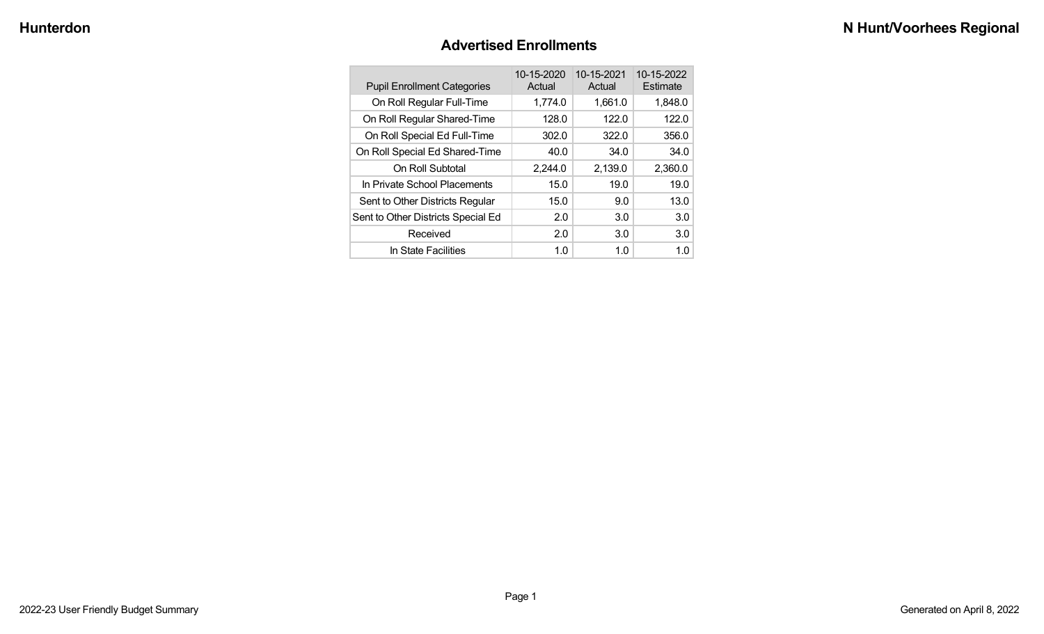#### **Advertised Enrollments**

| <b>Pupil Enrollment Categories</b> | 10-15-2020<br>Actual | 10-15-2021<br>Actual | 10-15-2022<br>Estimate |
|------------------------------------|----------------------|----------------------|------------------------|
| On Roll Regular Full-Time          | 1,774.0              | 1,661.0              | 1,848.0                |
| On Roll Regular Shared-Time        | 128.0                | 122.0                | 122.0                  |
| On Roll Special Ed Full-Time       | 302.0                | 322.0                | 356.0                  |
| On Roll Special Ed Shared-Time     | 40.0                 | 34.0                 | 34.0                   |
| On Roll Subtotal                   | 2,244.0              | 2,139.0              | 2,360.0                |
| In Private School Placements       | 15.0                 | 19.0                 | 19.0                   |
| Sent to Other Districts Regular    | 15.0                 | 9.0                  | 13.0                   |
| Sent to Other Districts Special Ed | 2.0                  | 3.0                  | 3.0                    |
| Received                           | 2.0                  | 3.0                  | 3.0                    |
| In State Facilities                | 1.0                  | 1.0                  | 1.0                    |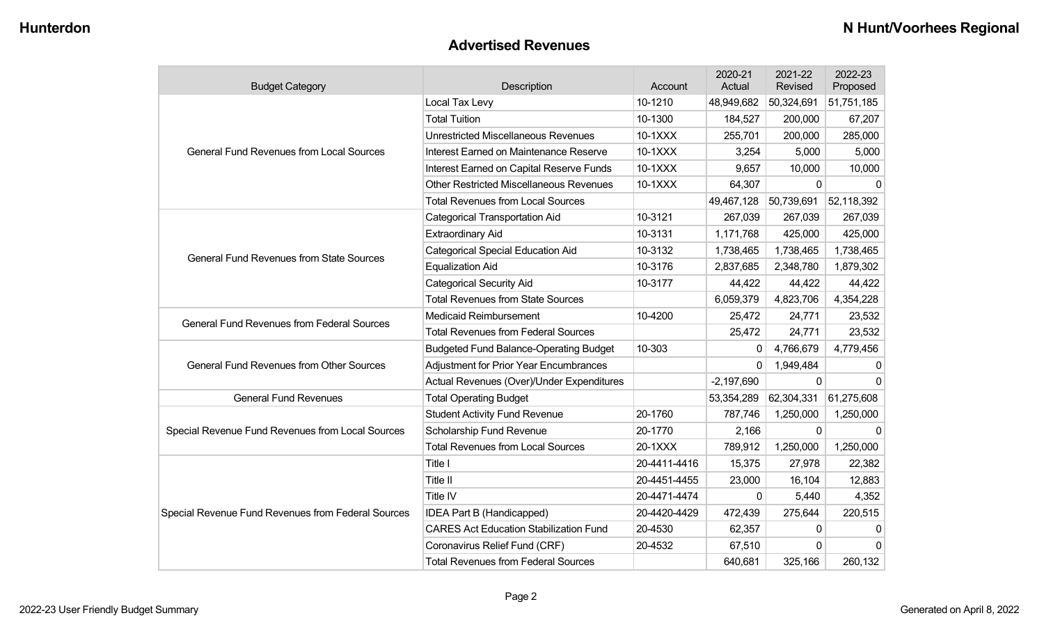#### **Advertised Revenues**

| <b>Budget Category</b>                             | Description                                    | Account      | 2020-21<br>Actual | 2021-22<br>Revised | 2022-23<br>Proposed |
|----------------------------------------------------|------------------------------------------------|--------------|-------------------|--------------------|---------------------|
|                                                    | Local Tax Levy                                 | 10-1210      | 48,949,682        | 50,324,691         | 51,751,185          |
|                                                    | <b>Total Tuition</b>                           | 10-1300      | 184,527           | 200,000            | 67,207              |
|                                                    | <b>Unrestricted Miscellaneous Revenues</b>     | 10-1XXX      | 255,701           | 200,000            | 285,000             |
| <b>General Fund Revenues from Local Sources</b>    | Interest Earned on Maintenance Reserve         | 10-1XXX      | 3,254             | 5,000              | 5,000               |
|                                                    | Interest Earned on Capital Reserve Funds       | 10-1XXX      | 9,657             | 10,000             | 10,000              |
|                                                    | <b>Other Restricted Miscellaneous Revenues</b> | 10-1XXX      | 64,307            | $\Omega$           | $\Omega$            |
|                                                    | <b>Total Revenues from Local Sources</b>       |              | 49,467,128        | 50,739,691         | 52,118,392          |
|                                                    | <b>Categorical Transportation Aid</b>          | 10-3121      | 267,039           | 267,039            | 267,039             |
|                                                    | <b>Extraordinary Aid</b>                       | 10-3131      | 1,171,768         | 425,000            | 425,000             |
| <b>General Fund Revenues from State Sources</b>    | <b>Categorical Special Education Aid</b>       | 10-3132      | 1,738,465         | 1,738,465          | 1,738,465           |
|                                                    | <b>Equalization Aid</b>                        | 10-3176      | 2,837,685         | 2,348,780          | 1,879,302           |
|                                                    | <b>Categorical Security Aid</b>                | 10-3177      | 44,422            | 44,422             | 44,422              |
|                                                    | <b>Total Revenues from State Sources</b>       |              | 6,059,379         | 4,823,706          | 4,354,228           |
| <b>General Fund Revenues from Federal Sources</b>  | <b>Medicaid Reimbursement</b>                  | 10-4200      | 25,472            | 24,771             | 23,532              |
|                                                    | <b>Total Revenues from Federal Sources</b>     |              | 25,472            | 24,771             | 23,532              |
|                                                    | <b>Budgeted Fund Balance-Operating Budget</b>  | 10-303       | 0                 | 4,766,679          | 4,779,456           |
| <b>General Fund Revenues from Other Sources</b>    | <b>Adjustment for Prior Year Encumbrances</b>  |              | $\Omega$          | 1,949,484          | $\mathbf{0}$        |
|                                                    | Actual Revenues (Over)/Under Expenditures      |              | $-2,197,690$      | $\Omega$           | $\Omega$            |
| <b>General Fund Revenues</b>                       | <b>Total Operating Budget</b>                  |              | 53,354,289        | 62,304,331         | 61,275,608          |
|                                                    | <b>Student Activity Fund Revenue</b>           | 20-1760      | 787,746           | 1,250,000          | 1,250,000           |
| Special Revenue Fund Revenues from Local Sources   | Scholarship Fund Revenue                       | 20-1770      | 2,166             | 0                  | $\Omega$            |
|                                                    | <b>Total Revenues from Local Sources</b>       | 20-1XXX      | 789,912           | 1,250,000          | 1,250,000           |
|                                                    | Title I                                        | 20-4411-4416 | 15,375            | 27,978             | 22,382              |
|                                                    | Title II                                       | 20-4451-4455 | 23,000            | 16,104             | 12,883              |
|                                                    | Title IV                                       | 20-4471-4474 | 0                 | 5,440              | 4,352               |
| Special Revenue Fund Revenues from Federal Sources | IDEA Part B (Handicapped)                      | 20-4420-4429 | 472,439           | 275,644            | 220,515             |
|                                                    | <b>CARES Act Education Stabilization Fund</b>  | 20-4530      | 62,357            | $\Omega$           | 0                   |
|                                                    | Coronavirus Relief Fund (CRF)                  | 20-4532      | 67,510            | 0                  | $\Omega$            |
|                                                    | <b>Total Revenues from Federal Sources</b>     |              | 640,681           | 325,166            | 260,132             |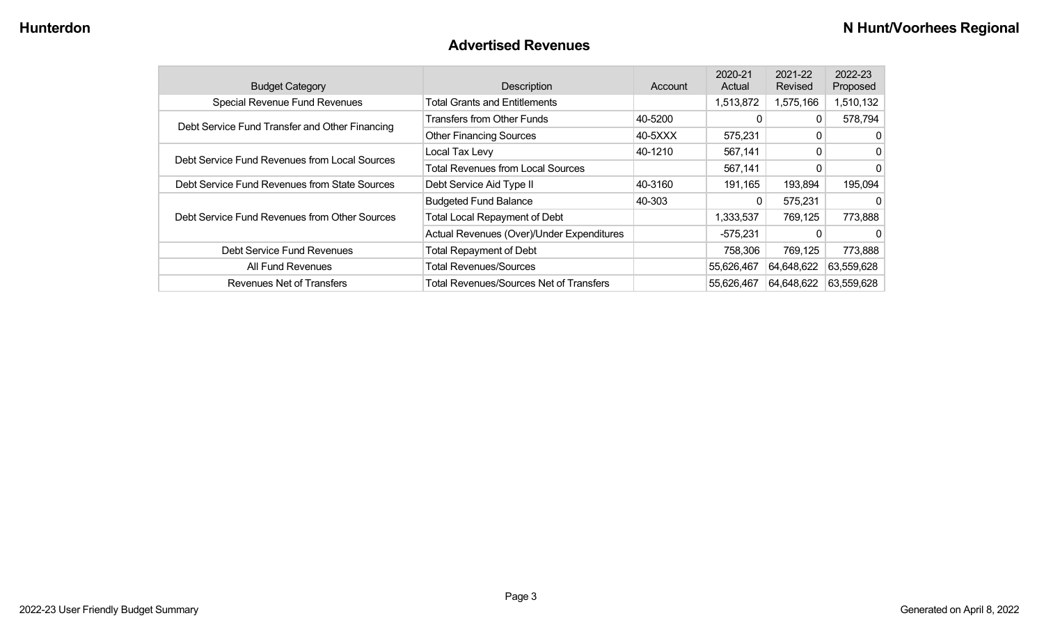#### **Advertised Revenues**

| <b>Budget Category</b>                         | Description                                    | Account | 2020-21<br>Actual | 2021-22<br>Revised | 2022-23<br>Proposed |
|------------------------------------------------|------------------------------------------------|---------|-------------------|--------------------|---------------------|
| <b>Special Revenue Fund Revenues</b>           | <b>Total Grants and Entitlements</b>           |         | 1,513,872         | 1,575,166          | 1,510,132           |
|                                                | <b>Transfers from Other Funds</b>              | 40-5200 |                   |                    | 578,794             |
| Debt Service Fund Transfer and Other Financing | <b>Other Financing Sources</b>                 | 40-5XXX | 575,231           | 0                  | 0                   |
| Debt Service Fund Revenues from Local Sources  | Local Tax Levy                                 | 40-1210 | 567,141           | 0                  | $\mathbf{0}$        |
|                                                | <b>Total Revenues from Local Sources</b>       |         | 567,141           | 0                  | $\mathbf{0}$        |
| Debt Service Fund Revenues from State Sources  | Debt Service Aid Type II                       | 40-3160 | 191,165           | 193,894            | 195,094             |
|                                                | <b>Budgeted Fund Balance</b>                   | 40-303  | 0                 | 575,231            | $\mathbf{0}$        |
| Debt Service Fund Revenues from Other Sources  | <b>Total Local Repayment of Debt</b>           |         | 1,333,537         | 769,125            | 773,888             |
|                                                | Actual Revenues (Over)/Under Expenditures      |         | $-575,231$        |                    | $\Omega$            |
| Debt Service Fund Revenues                     | <b>Total Repayment of Debt</b>                 |         | 758,306           | 769,125            | 773,888             |
| All Fund Revenues                              | <b>Total Revenues/Sources</b>                  |         | 55,626,467        | 64,648,622         | 63,559,628          |
| Revenues Net of Transfers                      | <b>Total Revenues/Sources Net of Transfers</b> |         | 55,626,467        | 64,648,622         | 63,559,628          |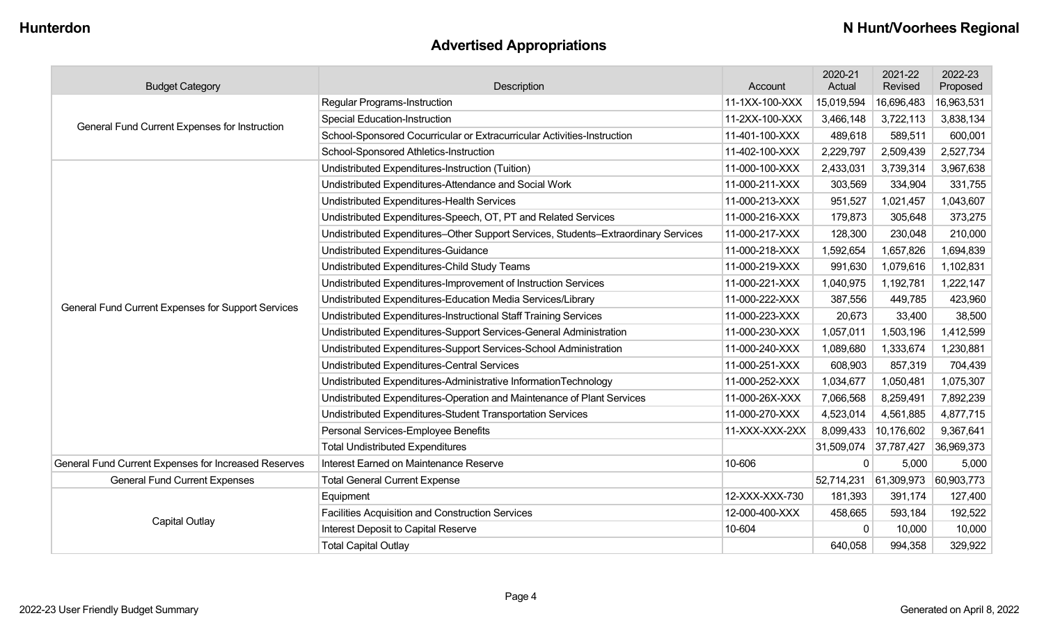# **Advertised Appropriations**

| <b>Budget Category</b>                               | Description                                                                        | Account        | 2020-21<br>Actual     | 2021-22<br>Revised | 2022-23<br>Proposed |
|------------------------------------------------------|------------------------------------------------------------------------------------|----------------|-----------------------|--------------------|---------------------|
|                                                      | Regular Programs-Instruction                                                       | 11-1XX-100-XXX | 15,019,594            | 16,696,483         | 16,963,531          |
| General Fund Current Expenses for Instruction        | <b>Special Education-Instruction</b>                                               | 11-2XX-100-XXX | 3,466,148             | 3,722,113          | 3,838,134           |
|                                                      | School-Sponsored Cocurricular or Extracurricular Activities-Instruction            | 11-401-100-XXX | 489,618               | 589,511            | 600,001             |
|                                                      | School-Sponsored Athletics-Instruction                                             | 11-402-100-XXX | 2,229,797             | 2,509,439          | 2,527,734           |
|                                                      | Undistributed Expenditures-Instruction (Tuition)                                   | 11-000-100-XXX | 2,433,031             | 3,739,314          | 3,967,638           |
|                                                      | Undistributed Expenditures-Attendance and Social Work                              | 11-000-211-XXX | 303,569               | 334,904            | 331,755             |
|                                                      | Undistributed Expenditures-Health Services                                         | 11-000-213-XXX | 951,527               | 1,021,457          | 1,043,607           |
|                                                      | Undistributed Expenditures-Speech, OT, PT and Related Services                     | 11-000-216-XXX | 179,873               | 305,648            | 373,275             |
|                                                      | Undistributed Expenditures-Other Support Services, Students-Extraordinary Services | 11-000-217-XXX | 128,300               | 230,048            | 210,000             |
|                                                      | Undistributed Expenditures-Guidance                                                | 11-000-218-XXX | 1,592,654             | 1,657,826          | 1,694,839           |
|                                                      | Undistributed Expenditures-Child Study Teams                                       | 11-000-219-XXX | 991,630               | 1,079,616          | 1,102,831           |
|                                                      | Undistributed Expenditures-Improvement of Instruction Services                     | 11-000-221-XXX | 1,040,975             | 1,192,781          | 1,222,147           |
| General Fund Current Expenses for Support Services   | Undistributed Expenditures-Education Media Services/Library                        | 11-000-222-XXX | 387,556               | 449,785            | 423,960             |
|                                                      | Undistributed Expenditures-Instructional Staff Training Services                   | 11-000-223-XXX | 20,673                | 33,400             | 38,500              |
|                                                      | Undistributed Expenditures-Support Services-General Administration                 | 11-000-230-XXX | 1,057,011             | 1,503,196          | 1,412,599           |
|                                                      | Undistributed Expenditures-Support Services-School Administration                  | 11-000-240-XXX | 1,089,680             | 1,333,674          | 1,230,881           |
|                                                      | Undistributed Expenditures-Central Services                                        | 11-000-251-XXX | 608,903               | 857,319            | 704,439             |
|                                                      | Undistributed Expenditures-Administrative InformationTechnology                    | 11-000-252-XXX | 1,034,677             | 1,050,481          | 1,075,307           |
|                                                      | Undistributed Expenditures-Operation and Maintenance of Plant Services             | 11-000-26X-XXX | 7,066,568             | 8,259,491          | 7,892,239           |
|                                                      | Undistributed Expenditures-Student Transportation Services                         | 11-000-270-XXX | 4,523,014             | 4,561,885          | 4,877,715           |
|                                                      | Personal Services-Employee Benefits                                                | 11-XXX-XXX-2XX | 8,099,433             | 10,176,602         | 9,367,641           |
|                                                      | <b>Total Undistributed Expenditures</b>                                            |                | 31,509,074 37,787,427 |                    | 36,969,373          |
| General Fund Current Expenses for Increased Reserves | Interest Earned on Maintenance Reserve                                             | 10-606         | $\Omega$              | 5,000              | 5,000               |
| <b>General Fund Current Expenses</b>                 | <b>Total General Current Expense</b>                                               |                | 52,714,231            | 61,309,973         | 60,903,773          |
|                                                      | Equipment                                                                          | 12-XXX-XXX-730 | 181,393               | 391,174            | 127,400             |
|                                                      | Facilities Acquisition and Construction Services                                   | 12-000-400-XXX | 458,665               | 593,184            | 192,522             |
| Capital Outlay                                       | Interest Deposit to Capital Reserve                                                | 10-604         | $\mathbf{0}$          | 10,000             | 10,000              |
|                                                      | <b>Total Capital Outlay</b>                                                        |                | 640,058               | 994,358            | 329,922             |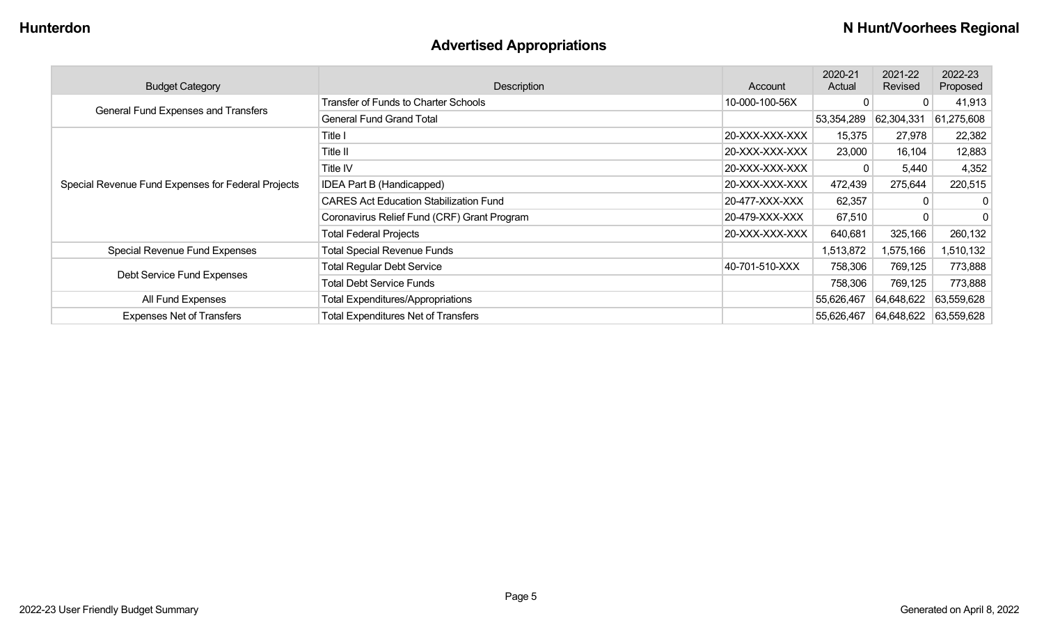# **Advertised Appropriations**

| <b>Budget Category</b>                             | <b>Description</b>                            | Account        | 2020-21<br>Actual | 2021-22<br>Revised | 2022-23<br>Proposed |
|----------------------------------------------------|-----------------------------------------------|----------------|-------------------|--------------------|---------------------|
| General Fund Expenses and Transfers                | Transfer of Funds to Charter Schools          | 10-000-100-56X |                   | 0                  | 41,913              |
|                                                    | <b>General Fund Grand Total</b>               |                | 53,354,289        | 62,304,331         | 61,275,608          |
|                                                    | Title I                                       | 20-XXX-XXX-XXX | 15,375            | 27,978             | 22,382              |
|                                                    | Title II                                      | 20-XXX-XXX-XXX | 23,000            | 16,104             | 12,883              |
|                                                    | Title IV                                      | 20-XXX-XXX-XXX |                   | 5,440              | 4,352               |
| Special Revenue Fund Expenses for Federal Projects | <b>IDEA Part B (Handicapped)</b>              | 20-XXX-XXX-XXX | 472,439           | 275,644            | 220,515             |
|                                                    | <b>CARES Act Education Stabilization Fund</b> | 20-477-XXX-XXX | 62,357            | 0                  | 0                   |
|                                                    | Coronavirus Relief Fund (CRF) Grant Program   | 20-479-XXX-XXX | 67,510            | 0                  | $\mathbf{0}$        |
|                                                    | <b>Total Federal Projects</b>                 | 20-XXX-XXX-XXX | 640,681           | 325,166            | 260,132             |
| Special Revenue Fund Expenses                      | <b>Total Special Revenue Funds</b>            |                | 1,513,872         | 1,575,166          | 1,510,132           |
| Debt Service Fund Expenses                         | <b>Total Regular Debt Service</b>             | 40-701-510-XXX | 758,306           | 769,125            | 773,888             |
|                                                    | <b>Total Debt Service Funds</b>               |                | 758,306           | 769,125            | 773,888             |
| All Fund Expenses                                  | <b>Total Expenditures/Appropriations</b>      |                | 55,626,467        | 64,648,622         | 63,559,628          |
| <b>Expenses Net of Transfers</b>                   | <b>Total Expenditures Net of Transfers</b>    |                | 55,626,467        | 64,648,622         | 63,559,628          |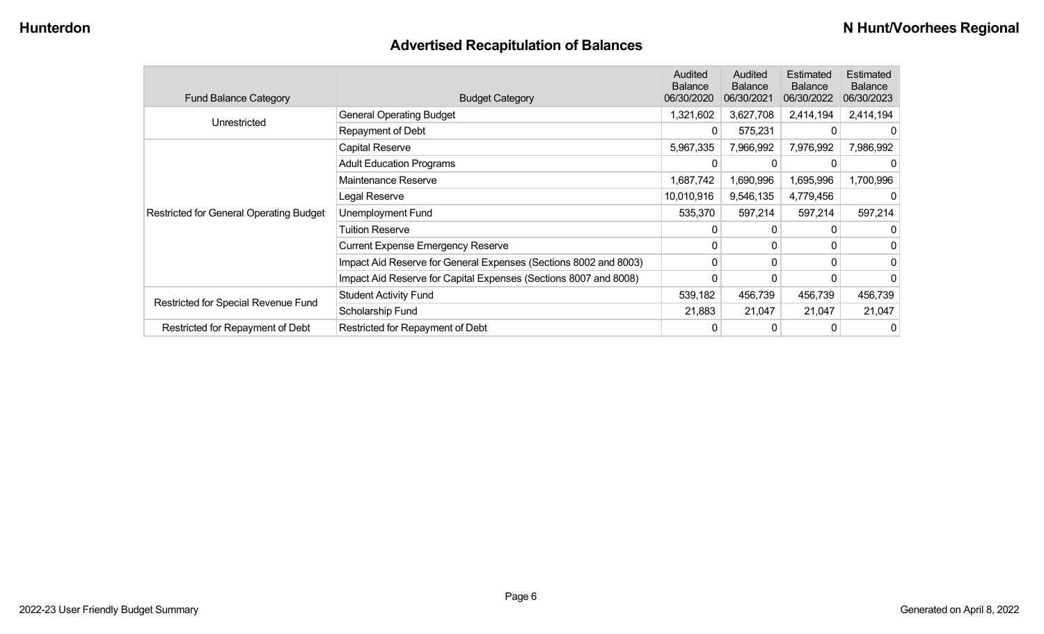# **Advertised Recapitulation of Balances**

| <b>Fund Balance Category</b>                   | <b>Budget Category</b>                                           | <b>Audited</b><br><b>Balance</b><br>06/30/2020 | Audited<br><b>Balance</b><br>06/30/2021 | Estimated<br><b>Balance</b><br>06/30/2022 | Estimated<br><b>Balance</b><br>06/30/2023 |
|------------------------------------------------|------------------------------------------------------------------|------------------------------------------------|-----------------------------------------|-------------------------------------------|-------------------------------------------|
| Unrestricted                                   | <b>General Operating Budget</b>                                  | 1,321,602                                      | 3,627,708                               | 2,414,194                                 | 2,414,194                                 |
|                                                | Repayment of Debt                                                | 0                                              | 575,231                                 | 0                                         |                                           |
|                                                | Capital Reserve                                                  | 5,967,335                                      | 7,966,992                               | 7,976,992                                 | 7,986,992                                 |
|                                                | <b>Adult Education Programs</b>                                  |                                                | 0                                       |                                           |                                           |
|                                                | Maintenance Reserve                                              | 1,687,742                                      | 1,690,996                               | 1,695,996                                 | 1,700,996                                 |
| <b>Restricted for General Operating Budget</b> | Legal Reserve                                                    | 10,010,916                                     | 9,546,135                               | 4,779,456                                 |                                           |
|                                                | Unemployment Fund                                                | 535,370                                        | 597,214                                 | 597,214                                   | 597,214                                   |
|                                                | Tuition Reserve                                                  | 0                                              | 0                                       | 0                                         |                                           |
|                                                | <b>Current Expense Emergency Reserve</b>                         | $\Omega$                                       | $\mathbf{0}$                            | 0                                         |                                           |
|                                                | Impact Aid Reserve for General Expenses (Sections 8002 and 8003) | 0                                              | 0                                       | $\Omega$                                  | 0                                         |
|                                                | Impact Aid Reserve for Capital Expenses (Sections 8007 and 8008) | 0                                              | 0                                       |                                           |                                           |
|                                                | <b>Student Activity Fund</b>                                     | 539,182                                        | 456,739                                 | 456,739                                   | 456,739                                   |
| Restricted for Special Revenue Fund            | Scholarship Fund                                                 | 21,883                                         | 21,047                                  | 21,047                                    | 21,047                                    |
| Restricted for Repayment of Debt               | Restricted for Repayment of Debt                                 | 0                                              | 0                                       |                                           | 0                                         |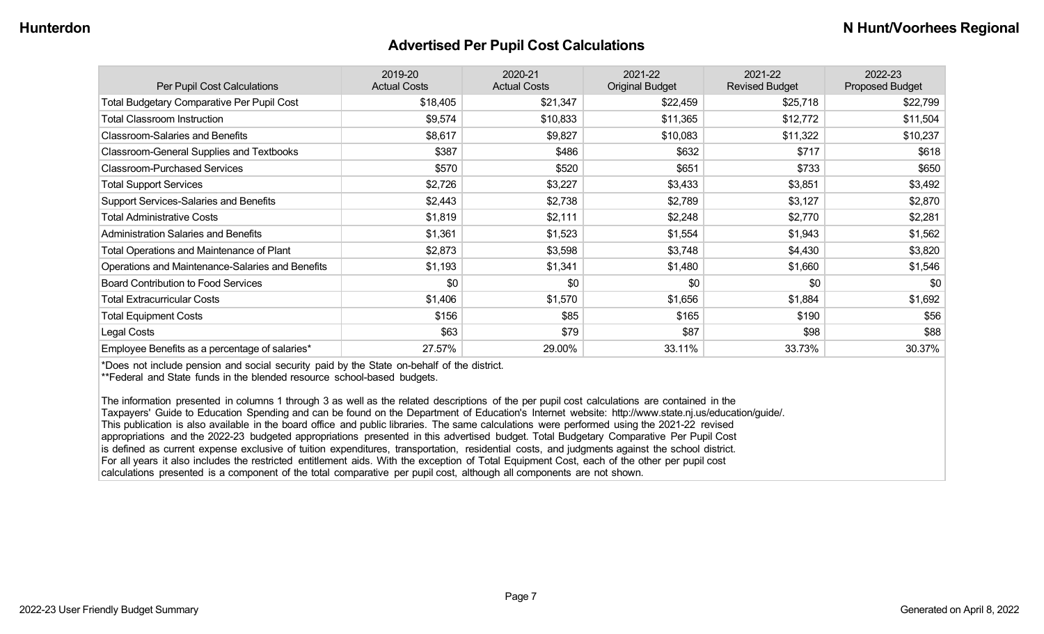#### **Advertised Per Pupil Cost Calculations**

| Per Pupil Cost Calculations                       | 2019-20<br><b>Actual Costs</b> | 2020-21<br><b>Actual Costs</b> | 2021-22<br><b>Original Budget</b> | 2021-22<br><b>Revised Budget</b> | 2022-23<br><b>Proposed Budget</b> |
|---------------------------------------------------|--------------------------------|--------------------------------|-----------------------------------|----------------------------------|-----------------------------------|
| <b>Total Budgetary Comparative Per Pupil Cost</b> | \$18,405                       | \$21,347                       | \$22,459                          | \$25,718                         | \$22,799                          |
| <b>Total Classroom Instruction</b>                | \$9,574                        | \$10,833                       | \$11,365                          | \$12,772                         | \$11,504                          |
| <b>Classroom-Salaries and Benefits</b>            | \$8,617                        | \$9,827                        | \$10,083                          | \$11,322                         | \$10,237                          |
| Classroom-General Supplies and Textbooks          | \$387                          | \$486                          | \$632                             | \$717                            | \$618                             |
| <b>Classroom-Purchased Services</b>               | \$570                          | \$520                          | \$651                             | \$733                            | \$650                             |
| <b>Total Support Services</b>                     | \$2,726                        | \$3,227                        | \$3,433                           | \$3,851                          | \$3,492                           |
| Support Services-Salaries and Benefits            | \$2,443                        | \$2,738                        | \$2,789                           | \$3,127                          | \$2,870                           |
| <b>Total Administrative Costs</b>                 | \$1,819                        | \$2,111                        | \$2,248                           | \$2,770                          | \$2,281                           |
| <b>Administration Salaries and Benefits</b>       | \$1,361                        | \$1,523                        | \$1,554                           | \$1,943                          | \$1,562                           |
| Total Operations and Maintenance of Plant         | \$2,873                        | \$3,598                        | \$3,748                           | \$4,430                          | \$3,820                           |
| Operations and Maintenance-Salaries and Benefits  | \$1,193                        | \$1,341                        | \$1,480                           | \$1,660                          | \$1,546                           |
| <b>Board Contribution to Food Services</b>        | \$0                            | \$0                            | \$0                               | \$0                              | \$0                               |
| <b>Total Extracurricular Costs</b>                | \$1,406                        | \$1,570                        | \$1,656                           | \$1,884                          | \$1,692                           |
| <b>Total Equipment Costs</b>                      | \$156                          | \$85                           | \$165                             | \$190                            | \$56                              |
| Legal Costs                                       | \$63                           | \$79                           | \$87                              | \$98                             | \$88                              |
| Employee Benefits as a percentage of salaries*    | 27.57%                         | 29.00%                         | 33.11%                            | 33.73%                           | 30.37%                            |

\*Does not include pension and social security paid by the State on-behalf of the district.

\*\*Federal and State funds in the blended resource school-based budgets.

The information presented in columns 1 through 3 as well as the related descriptions of the per pupil cost calculations are contained in the Taxpayers' Guide to Education Spending and can be found on the Department of Education's Internet website: http://www.state.nj.us/education/guide/. This publication is also available in the board office and public libraries. The same calculations were performed using the 2021-22 revised appropriations and the 2022-23 budgeted appropriations presented in this advertised budget. Total Budgetary Comparative Per Pupil Cost is defined as current expense exclusive of tuition expenditures, transportation, residential costs, and judgments against the school district. For all years it also includes the restricted entitlement aids. With the exception of Total Equipment Cost, each of the other per pupil cost calculations presented is a component of the total comparative per pupil cost, although all components are not shown.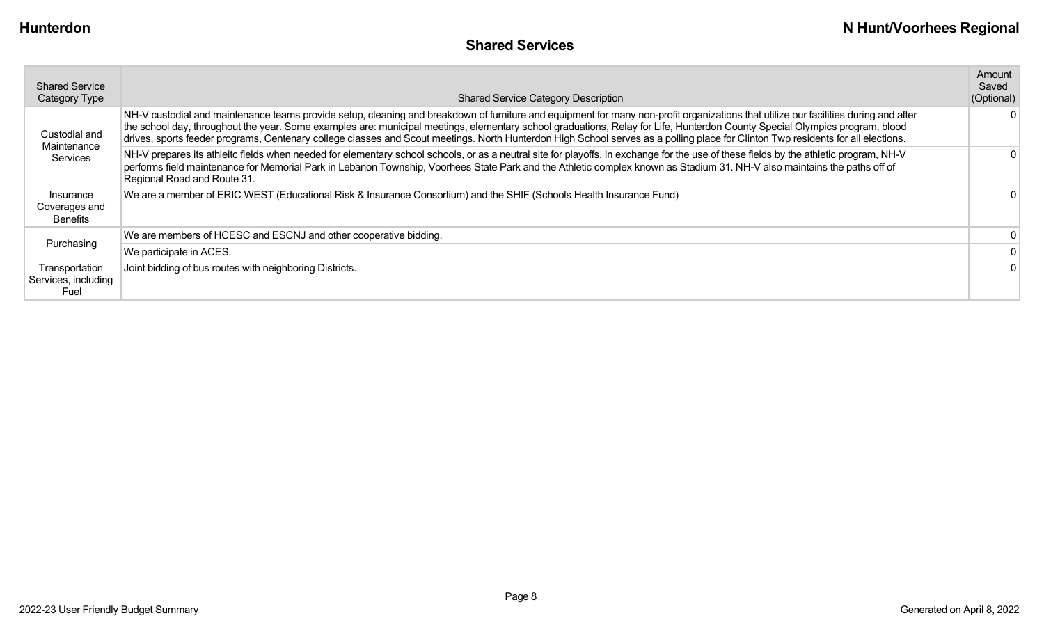| <b>Shared Service</b><br><b>Category Type</b> | <b>Shared Service Category Description</b>                                                                                                                                                                                                                                                                                                                                                                                                                                                                                                              | Amount<br>Saved<br>(Optional) |
|-----------------------------------------------|---------------------------------------------------------------------------------------------------------------------------------------------------------------------------------------------------------------------------------------------------------------------------------------------------------------------------------------------------------------------------------------------------------------------------------------------------------------------------------------------------------------------------------------------------------|-------------------------------|
| Custodial and                                 | NH-V custodial and maintenance teams provide setup, cleaning and breakdown of furniture and equipment for many non-profit organizations that utilize our facilities during and after<br>the school day, throughout the year. Some examples are: municipal meetings, elementary school graduations, Relay for Life, Hunterdon County Special Olympics program, blood<br>drives, sports feeder programs, Centenary college classes and Scout meetings. North Hunterdon High School serves as a polling place for Clinton Twp residents for all elections. | 0                             |
| Maintenance<br>Services                       | NH-V prepares its athleitc fields when needed for elementary school schools, or as a neutral site for playoffs. In exchange for the use of these fields by the athletic program, NH-V<br>performs field maintenance for Memorial Park in Lebanon Township, Voorhees State Park and the Athletic complex known as Stadium 31. NH-V also maintains the paths off of<br>Regional Road and Route 31.                                                                                                                                                        |                               |
| Insurance<br>Coverages and<br>Benefits        | We are a member of ERIC WEST (Educational Risk & Insurance Consortium) and the SHIF (Schools Health Insurance Fund)                                                                                                                                                                                                                                                                                                                                                                                                                                     |                               |
| Purchasing                                    | We are members of HCESC and ESCNJ and other cooperative bidding.                                                                                                                                                                                                                                                                                                                                                                                                                                                                                        | 0                             |
|                                               | We participate in ACES.                                                                                                                                                                                                                                                                                                                                                                                                                                                                                                                                 |                               |
| Transportation<br>Services, including<br>Fuel | Joint bidding of bus routes with neighboring Districts.                                                                                                                                                                                                                                                                                                                                                                                                                                                                                                 | 0                             |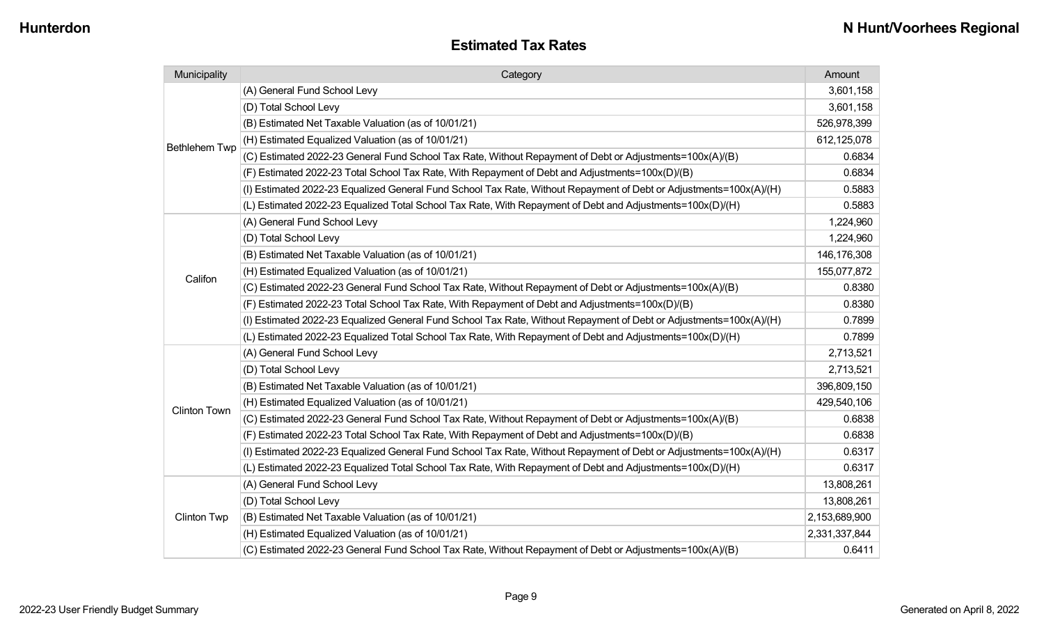| Municipality                                                                                             | Category                                                                                                                                                                                                                        |               |
|----------------------------------------------------------------------------------------------------------|---------------------------------------------------------------------------------------------------------------------------------------------------------------------------------------------------------------------------------|---------------|
|                                                                                                          | (A) General Fund School Levy                                                                                                                                                                                                    | 3,601,158     |
|                                                                                                          | (D) Total School Levy                                                                                                                                                                                                           | 3,601,158     |
|                                                                                                          | (B) Estimated Net Taxable Valuation (as of 10/01/21)                                                                                                                                                                            |               |
| <b>Bethlehem Twp</b>                                                                                     | (H) Estimated Equalized Valuation (as of 10/01/21)                                                                                                                                                                              | 612,125,078   |
|                                                                                                          | (C) Estimated 2022-23 General Fund School Tax Rate, Without Repayment of Debt or Adjustments=100x(A)/(B)                                                                                                                        | 0.6834        |
|                                                                                                          | (F) Estimated 2022-23 Total School Tax Rate, With Repayment of Debt and Adjustments=100x(D)/(B)                                                                                                                                 | 0.6834        |
|                                                                                                          | (I) Estimated 2022-23 Equalized General Fund School Tax Rate, Without Repayment of Debt or Adjustments=100x(A)/(H)                                                                                                              | 0.5883        |
|                                                                                                          | (L) Estimated 2022-23 Equalized Total School Tax Rate, With Repayment of Debt and Adjustments=100x(D)/(H)                                                                                                                       | 0.5883        |
|                                                                                                          | (A) General Fund School Levy                                                                                                                                                                                                    | 1,224,960     |
|                                                                                                          | (D) Total School Levy                                                                                                                                                                                                           | 1,224,960     |
|                                                                                                          | (B) Estimated Net Taxable Valuation (as of 10/01/21)                                                                                                                                                                            | 146,176,308   |
| Califon                                                                                                  | (H) Estimated Equalized Valuation (as of 10/01/21)                                                                                                                                                                              | 155,077,872   |
|                                                                                                          | (C) Estimated 2022-23 General Fund School Tax Rate, Without Repayment of Debt or Adjustments=100x(A)/(B)                                                                                                                        |               |
|                                                                                                          | (F) Estimated 2022-23 Total School Tax Rate, With Repayment of Debt and Adjustments=100x(D)/(B)                                                                                                                                 | 0.8380        |
|                                                                                                          | (I) Estimated 2022-23 Equalized General Fund School Tax Rate, Without Repayment of Debt or Adjustments=100x(A)/(H)<br>(L) Estimated 2022-23 Equalized Total School Tax Rate, With Repayment of Debt and Adjustments=100x(D)/(H) |               |
|                                                                                                          |                                                                                                                                                                                                                                 |               |
|                                                                                                          | (A) General Fund School Levy                                                                                                                                                                                                    | 2,713,521     |
|                                                                                                          | (D) Total School Levy                                                                                                                                                                                                           | 2,713,521     |
|                                                                                                          | (B) Estimated Net Taxable Valuation (as of 10/01/21)                                                                                                                                                                            | 396,809,150   |
| <b>Clinton Town</b>                                                                                      | (H) Estimated Equalized Valuation (as of 10/01/21)                                                                                                                                                                              | 429,540,106   |
|                                                                                                          | (C) Estimated 2022-23 General Fund School Tax Rate, Without Repayment of Debt or Adjustments=100x(A)/(B)                                                                                                                        | 0.6838        |
|                                                                                                          | (F) Estimated 2022-23 Total School Tax Rate, With Repayment of Debt and Adjustments=100x(D)/(B)                                                                                                                                 | 0.6838        |
|                                                                                                          | (I) Estimated 2022-23 Equalized General Fund School Tax Rate, Without Repayment of Debt or Adjustments=100x(A)/(H)                                                                                                              | 0.6317        |
|                                                                                                          | (L) Estimated 2022-23 Equalized Total School Tax Rate, With Repayment of Debt and Adjustments=100x(D)/(H)                                                                                                                       | 0.6317        |
|                                                                                                          | (A) General Fund School Levy                                                                                                                                                                                                    | 13,808,261    |
|                                                                                                          | (D) Total School Levy                                                                                                                                                                                                           | 13,808,261    |
| <b>Clinton Twp</b>                                                                                       | (B) Estimated Net Taxable Valuation (as of 10/01/21)                                                                                                                                                                            | 2,153,689,900 |
|                                                                                                          | (H) Estimated Equalized Valuation (as of 10/01/21)                                                                                                                                                                              | 2,331,337,844 |
| (C) Estimated 2022-23 General Fund School Tax Rate, Without Repayment of Debt or Adjustments=100x(A)/(B) |                                                                                                                                                                                                                                 | 0.6411        |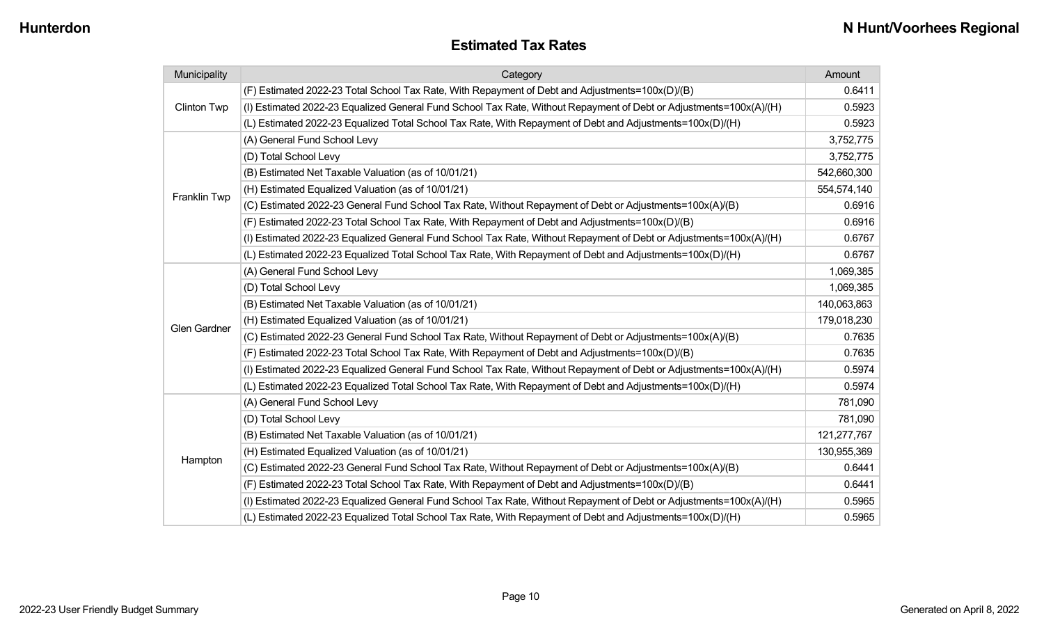#### **Estimated Tax Rates**

| Municipality        | Category                                                                                                           |             |
|---------------------|--------------------------------------------------------------------------------------------------------------------|-------------|
|                     | (F) Estimated 2022-23 Total School Tax Rate, With Repayment of Debt and Adjustments=100x(D)/(B)                    | 0.6411      |
| <b>Clinton Twp</b>  | (I) Estimated 2022-23 Equalized General Fund School Tax Rate, Without Repayment of Debt or Adjustments=100x(A)/(H) | 0.5923      |
|                     | (L) Estimated 2022-23 Equalized Total School Tax Rate, With Repayment of Debt and Adjustments=100x(D)/(H)          | 0.5923      |
|                     | (A) General Fund School Levy                                                                                       | 3,752,775   |
|                     | (D) Total School Levy                                                                                              | 3,752,775   |
|                     | (B) Estimated Net Taxable Valuation (as of 10/01/21)                                                               | 542,660,300 |
| Franklin Twp        | (H) Estimated Equalized Valuation (as of 10/01/21)                                                                 | 554,574,140 |
|                     | (C) Estimated 2022-23 General Fund School Tax Rate, Without Repayment of Debt or Adjustments=100x(A)/(B)           | 0.6916      |
|                     | (F) Estimated 2022-23 Total School Tax Rate, With Repayment of Debt and Adjustments=100x(D)/(B)                    | 0.6916      |
|                     | (I) Estimated 2022-23 Equalized General Fund School Tax Rate, Without Repayment of Debt or Adjustments=100x(A)/(H) | 0.6767      |
|                     | (L) Estimated 2022-23 Equalized Total School Tax Rate, With Repayment of Debt and Adjustments=100x(D)/(H)          | 0.6767      |
|                     | (A) General Fund School Levy                                                                                       | 1,069,385   |
|                     | (D) Total School Levy                                                                                              | 1,069,385   |
|                     | (B) Estimated Net Taxable Valuation (as of 10/01/21)                                                               | 140,063,863 |
| <b>Glen Gardner</b> | (H) Estimated Equalized Valuation (as of 10/01/21)                                                                 | 179,018,230 |
|                     | (C) Estimated 2022-23 General Fund School Tax Rate, Without Repayment of Debt or Adjustments=100x(A)/(B)           | 0.7635      |
|                     | (F) Estimated 2022-23 Total School Tax Rate, With Repayment of Debt and Adjustments=100x(D)/(B)                    | 0.7635      |
|                     | (I) Estimated 2022-23 Equalized General Fund School Tax Rate, Without Repayment of Debt or Adjustments=100x(A)/(H) | 0.5974      |
|                     | (L) Estimated 2022-23 Equalized Total School Tax Rate, With Repayment of Debt and Adjustments=100x(D)/(H)          | 0.5974      |
|                     | (A) General Fund School Levy                                                                                       | 781,090     |
|                     | (D) Total School Levy                                                                                              | 781,090     |
|                     | (B) Estimated Net Taxable Valuation (as of 10/01/21)                                                               | 121,277,767 |
|                     | (H) Estimated Equalized Valuation (as of 10/01/21)                                                                 | 130,955,369 |
| Hampton             | (C) Estimated 2022-23 General Fund School Tax Rate, Without Repayment of Debt or Adjustments=100x(A)/(B)           | 0.6441      |
|                     | (F) Estimated 2022-23 Total School Tax Rate, With Repayment of Debt and Adjustments=100x(D)/(B)                    | 0.6441      |
|                     | (I) Estimated 2022-23 Equalized General Fund School Tax Rate, Without Repayment of Debt or Adjustments=100x(A)/(H) | 0.5965      |
|                     | (L) Estimated 2022-23 Equalized Total School Tax Rate, With Repayment of Debt and Adjustments=100x(D)/(H)          | 0.5965      |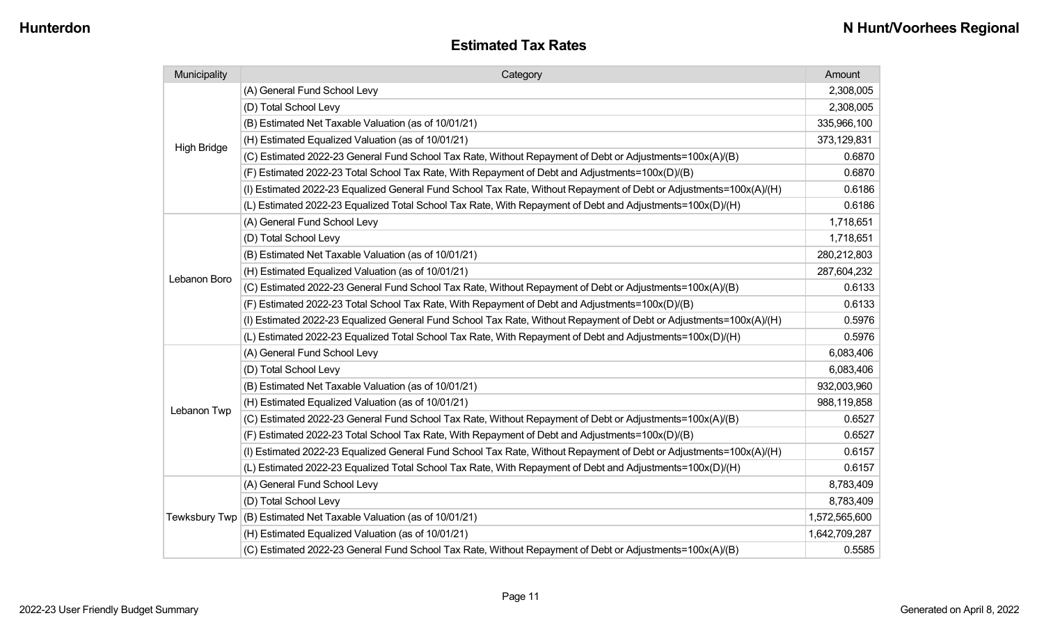| <b>Estimated Tax Rates</b> |
|----------------------------|
|----------------------------|

| Municipality       | Category                                                                                                           | Amount        |
|--------------------|--------------------------------------------------------------------------------------------------------------------|---------------|
|                    | (A) General Fund School Levy                                                                                       | 2,308,005     |
|                    | (D) Total School Levy                                                                                              | 2,308,005     |
|                    | (B) Estimated Net Taxable Valuation (as of 10/01/21)                                                               | 335,966,100   |
|                    | (H) Estimated Equalized Valuation (as of 10/01/21)                                                                 | 373,129,831   |
| <b>High Bridge</b> | (C) Estimated 2022-23 General Fund School Tax Rate, Without Repayment of Debt or Adjustments=100x(A)/(B)           | 0.6870        |
|                    | (F) Estimated 2022-23 Total School Tax Rate, With Repayment of Debt and Adjustments=100x(D)/(B)                    | 0.6870        |
|                    | (I) Estimated 2022-23 Equalized General Fund School Tax Rate, Without Repayment of Debt or Adjustments=100x(A)/(H) | 0.6186        |
|                    | (L) Estimated 2022-23 Equalized Total School Tax Rate, With Repayment of Debt and Adjustments=100x(D)/(H)          | 0.6186        |
|                    | (A) General Fund School Levy                                                                                       | 1,718,651     |
|                    | (D) Total School Levy                                                                                              | 1,718,651     |
|                    | (B) Estimated Net Taxable Valuation (as of 10/01/21)                                                               | 280,212,803   |
| Lebanon Boro       | (H) Estimated Equalized Valuation (as of 10/01/21)                                                                 | 287,604,232   |
|                    | (C) Estimated 2022-23 General Fund School Tax Rate, Without Repayment of Debt or Adjustments=100x(A)/(B)           | 0.6133        |
|                    | (F) Estimated 2022-23 Total School Tax Rate, With Repayment of Debt and Adjustments=100x(D)/(B)                    | 0.6133        |
|                    | (I) Estimated 2022-23 Equalized General Fund School Tax Rate, Without Repayment of Debt or Adjustments=100x(A)/(H) | 0.5976        |
|                    | (L) Estimated 2022-23 Equalized Total School Tax Rate, With Repayment of Debt and Adjustments=100x(D)/(H)          | 0.5976        |
|                    | (A) General Fund School Levy                                                                                       | 6,083,406     |
|                    | (D) Total School Levy                                                                                              | 6,083,406     |
|                    | (B) Estimated Net Taxable Valuation (as of 10/01/21)                                                               | 932,003,960   |
| Lebanon Twp        | (H) Estimated Equalized Valuation (as of 10/01/21)                                                                 | 988,119,858   |
|                    | (C) Estimated 2022-23 General Fund School Tax Rate, Without Repayment of Debt or Adjustments=100x(A)/(B)           | 0.6527        |
|                    | (F) Estimated 2022-23 Total School Tax Rate, With Repayment of Debt and Adjustments=100x(D)/(B)                    | 0.6527        |
|                    | (I) Estimated 2022-23 Equalized General Fund School Tax Rate, Without Repayment of Debt or Adjustments=100x(A)/(H) | 0.6157        |
|                    | (L) Estimated 2022-23 Equalized Total School Tax Rate, With Repayment of Debt and Adjustments=100x(D)/(H)          | 0.6157        |
|                    | (A) General Fund School Levy                                                                                       | 8,783,409     |
|                    | (D) Total School Levy                                                                                              | 8,783,409     |
| Tewksbury Twp      | (B) Estimated Net Taxable Valuation (as of 10/01/21)                                                               | 1,572,565,600 |
|                    | (H) Estimated Equalized Valuation (as of 10/01/21)                                                                 | 1,642,709,287 |
|                    | (C) Estimated 2022-23 General Fund School Tax Rate, Without Repayment of Debt or Adjustments=100x(A)/(B)           | 0.5585        |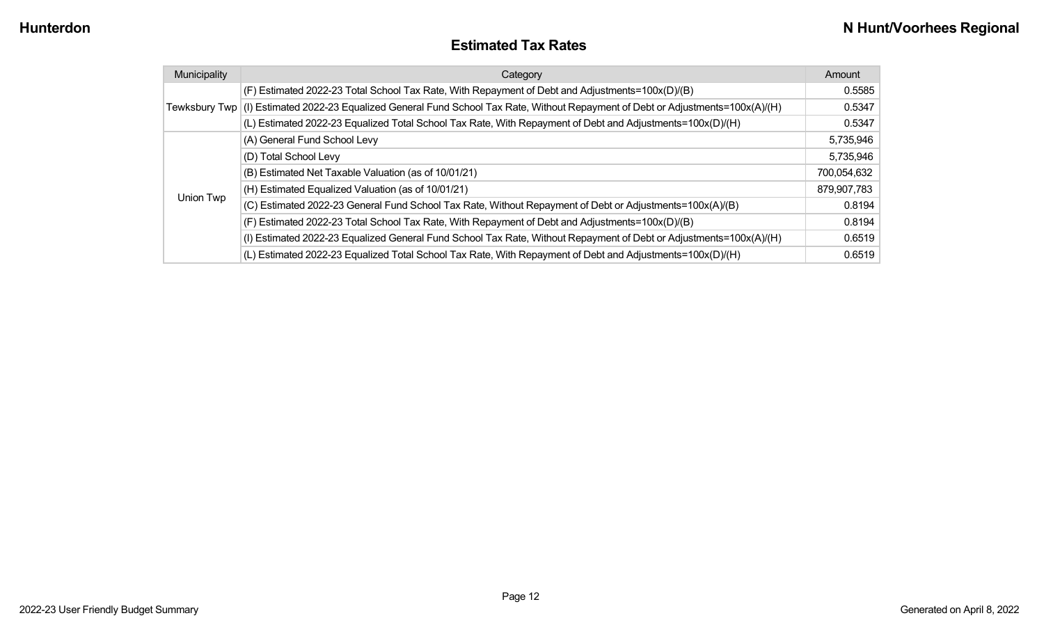#### **Estimated Tax Rates**

| Municipality | Category                                                                                                                         | Amount      |
|--------------|----------------------------------------------------------------------------------------------------------------------------------|-------------|
|              | (F) Estimated 2022-23 Total School Tax Rate, With Repayment of Debt and Adjustments=100x(D)/(B)                                  | 0.5585      |
|              | Tewksbury Twp (I) Estimated 2022-23 Equalized General Fund School Tax Rate, Without Repayment of Debt or Adjustments=100x(A)/(H) | 0.5347      |
|              | (L) Estimated 2022-23 Equalized Total School Tax Rate, With Repayment of Debt and Adjustments=100x(D)/(H)                        | 0.5347      |
|              | (A) General Fund School Levy                                                                                                     | 5,735,946   |
|              | (D) Total School Levy                                                                                                            | 5,735,946   |
|              | (B) Estimated Net Taxable Valuation (as of 10/01/21)                                                                             | 700,054,632 |
|              | (H) Estimated Equalized Valuation (as of 10/01/21)                                                                               | 879,907,783 |
| Union Twp    | (C) Estimated 2022-23 General Fund School Tax Rate, Without Repayment of Debt or Adjustments=100x(A)/(B)                         | 0.8194      |
|              | (F) Estimated 2022-23 Total School Tax Rate, With Repayment of Debt and Adjustments=100x(D)/(B)                                  | 0.8194      |
|              | (I) Estimated 2022-23 Equalized General Fund School Tax Rate, Without Repayment of Debt or Adjustments=100x(A)/(H)               | 0.6519      |
|              | (L) Estimated 2022-23 Equalized Total School Tax Rate, With Repayment of Debt and Adjustments=100x(D)/(H)                        | 0.6519      |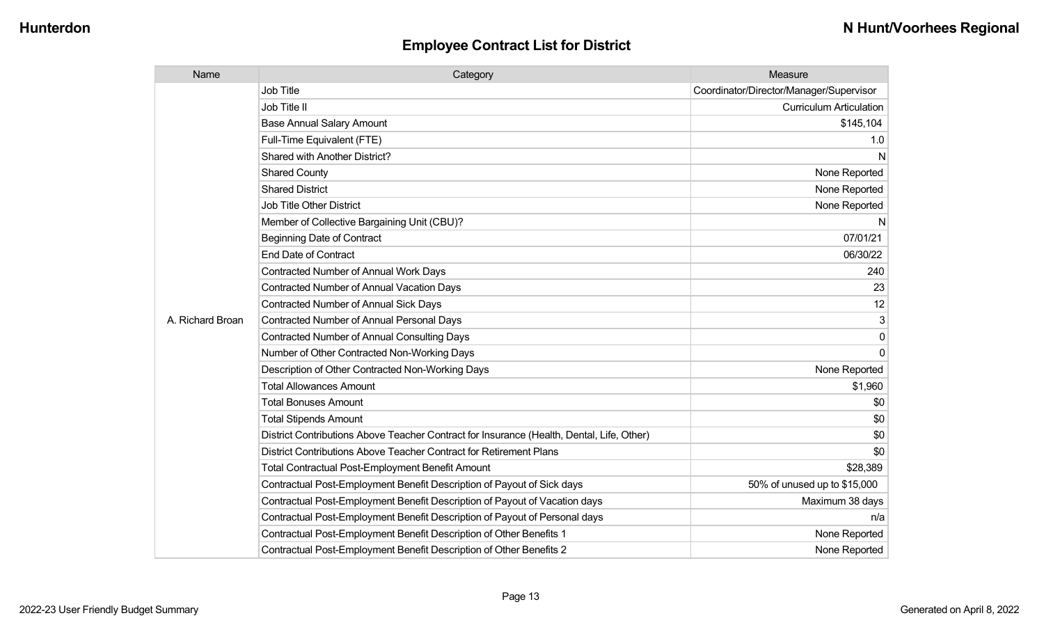| Name             | Category                                                                                  | Measure                                 |
|------------------|-------------------------------------------------------------------------------------------|-----------------------------------------|
|                  | <b>Job Title</b>                                                                          | Coordinator/Director/Manager/Supervisor |
|                  | Job Title II                                                                              | <b>Curriculum Articulation</b>          |
|                  | <b>Base Annual Salary Amount</b>                                                          | \$145,104                               |
|                  | Full-Time Equivalent (FTE)                                                                | 1.0                                     |
|                  | Shared with Another District?                                                             | N                                       |
|                  | <b>Shared County</b>                                                                      | None Reported                           |
|                  | <b>Shared District</b>                                                                    | None Reported                           |
|                  | <b>Job Title Other District</b>                                                           | None Reported                           |
|                  | Member of Collective Bargaining Unit (CBU)?                                               | N                                       |
|                  | <b>Beginning Date of Contract</b>                                                         | 07/01/21                                |
|                  | <b>End Date of Contract</b>                                                               | 06/30/22                                |
|                  | <b>Contracted Number of Annual Work Days</b>                                              | 240                                     |
|                  | <b>Contracted Number of Annual Vacation Days</b>                                          | 23                                      |
|                  | <b>Contracted Number of Annual Sick Days</b>                                              | 12                                      |
| A. Richard Broan | <b>Contracted Number of Annual Personal Days</b>                                          | 3                                       |
|                  | <b>Contracted Number of Annual Consulting Days</b>                                        | 0                                       |
|                  | Number of Other Contracted Non-Working Days                                               | $\Omega$                                |
|                  | Description of Other Contracted Non-Working Days                                          | None Reported                           |
|                  | <b>Total Allowances Amount</b>                                                            | \$1,960                                 |
|                  | <b>Total Bonuses Amount</b>                                                               | \$0                                     |
|                  | <b>Total Stipends Amount</b>                                                              | \$0                                     |
|                  | District Contributions Above Teacher Contract for Insurance (Health, Dental, Life, Other) | \$0                                     |
|                  | District Contributions Above Teacher Contract for Retirement Plans                        | \$0                                     |
|                  | <b>Total Contractual Post-Employment Benefit Amount</b>                                   | \$28,389                                |
|                  | Contractual Post-Employment Benefit Description of Payout of Sick days                    | 50% of unused up to \$15,000            |
|                  | Contractual Post-Employment Benefit Description of Payout of Vacation days                | Maximum 38 days                         |
|                  | Contractual Post-Employment Benefit Description of Payout of Personal days                | n/a                                     |
|                  | Contractual Post-Employment Benefit Description of Other Benefits 1                       | None Reported                           |
|                  | Contractual Post-Employment Benefit Description of Other Benefits 2                       | None Reported                           |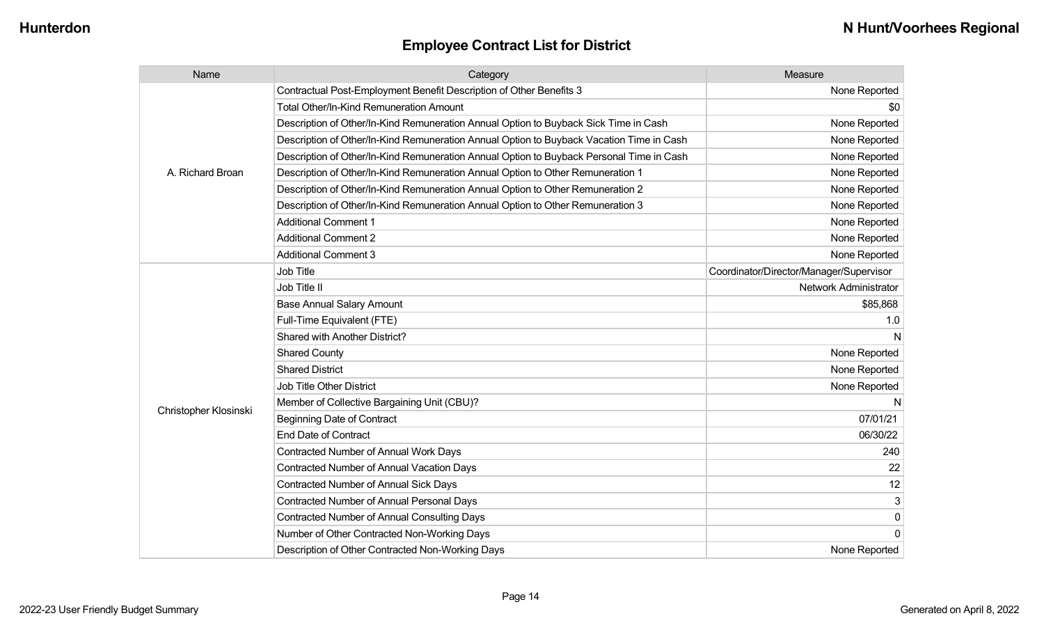| Name                  | Category                                                                                 | Measure                                 |
|-----------------------|------------------------------------------------------------------------------------------|-----------------------------------------|
|                       | Contractual Post-Employment Benefit Description of Other Benefits 3                      | None Reported                           |
|                       | Total Other/In-Kind Remuneration Amount                                                  | \$0                                     |
|                       | Description of Other/In-Kind Remuneration Annual Option to Buyback Sick Time in Cash     | None Reported                           |
|                       | Description of Other/In-Kind Remuneration Annual Option to Buyback Vacation Time in Cash | None Reported                           |
|                       | Description of Other/In-Kind Remuneration Annual Option to Buyback Personal Time in Cash | None Reported                           |
| A. Richard Broan      | Description of Other/In-Kind Remuneration Annual Option to Other Remuneration 1          | None Reported                           |
|                       | Description of Other/In-Kind Remuneration Annual Option to Other Remuneration 2          | None Reported                           |
|                       | Description of Other/In-Kind Remuneration Annual Option to Other Remuneration 3          | None Reported                           |
|                       | <b>Additional Comment 1</b>                                                              | None Reported                           |
|                       | <b>Additional Comment 2</b>                                                              | None Reported                           |
|                       | <b>Additional Comment 3</b>                                                              | None Reported                           |
|                       | <b>Job Title</b>                                                                         | Coordinator/Director/Manager/Supervisor |
|                       | Job Title II                                                                             | Network Administrator                   |
|                       | <b>Base Annual Salary Amount</b>                                                         | \$85,868                                |
|                       | Full-Time Equivalent (FTE)                                                               | 1.0                                     |
|                       | Shared with Another District?                                                            |                                         |
|                       | <b>Shared County</b>                                                                     | None Reported                           |
|                       | <b>Shared District</b>                                                                   | None Reported                           |
|                       | <b>Job Title Other District</b>                                                          | None Reported                           |
|                       | Member of Collective Bargaining Unit (CBU)?                                              | N                                       |
| Christopher Klosinski | <b>Beginning Date of Contract</b>                                                        | 07/01/21                                |
|                       | <b>End Date of Contract</b>                                                              | 06/30/22                                |
|                       | Contracted Number of Annual Work Days                                                    | 240                                     |
|                       | <b>Contracted Number of Annual Vacation Days</b>                                         | 22                                      |
|                       | Contracted Number of Annual Sick Days                                                    | 12                                      |
|                       | Contracted Number of Annual Personal Days                                                | $\mathbf{3}$                            |
|                       | <b>Contracted Number of Annual Consulting Days</b>                                       | $\mathbf 0$                             |
|                       | Number of Other Contracted Non-Working Days                                              | $\Omega$                                |
|                       | Description of Other Contracted Non-Working Days                                         | None Reported                           |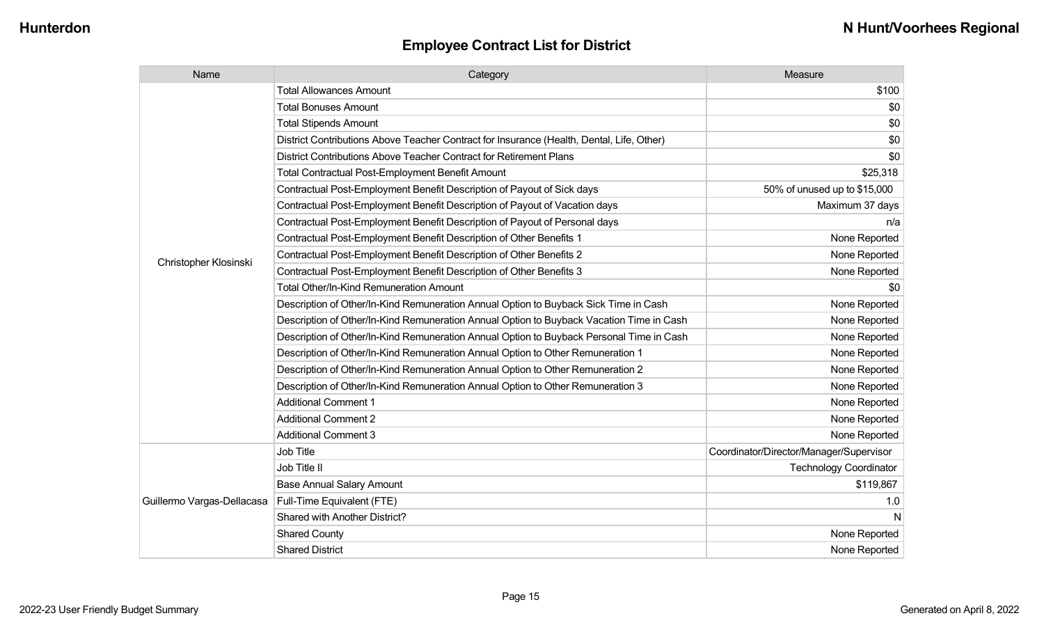| Name                       | Category                                                                                  | Measure                                 |
|----------------------------|-------------------------------------------------------------------------------------------|-----------------------------------------|
|                            | <b>Total Allowances Amount</b>                                                            | \$100                                   |
|                            | <b>Total Bonuses Amount</b>                                                               | \$0                                     |
|                            | <b>Total Stipends Amount</b>                                                              | \$0                                     |
|                            | District Contributions Above Teacher Contract for Insurance (Health, Dental, Life, Other) | \$0                                     |
|                            | District Contributions Above Teacher Contract for Retirement Plans                        | \$0                                     |
|                            | <b>Total Contractual Post-Employment Benefit Amount</b>                                   | \$25,318                                |
|                            | Contractual Post-Employment Benefit Description of Payout of Sick days                    | 50% of unused up to \$15,000            |
|                            | Contractual Post-Employment Benefit Description of Payout of Vacation days                | Maximum 37 days                         |
|                            | Contractual Post-Employment Benefit Description of Payout of Personal days                | n/a                                     |
|                            | Contractual Post-Employment Benefit Description of Other Benefits 1                       | None Reported                           |
| Christopher Klosinski      | Contractual Post-Employment Benefit Description of Other Benefits 2                       | None Reported                           |
|                            | Contractual Post-Employment Benefit Description of Other Benefits 3                       | None Reported                           |
|                            | <b>Total Other/In-Kind Remuneration Amount</b>                                            | \$0                                     |
|                            | Description of Other/In-Kind Remuneration Annual Option to Buyback Sick Time in Cash      | None Reported                           |
|                            | Description of Other/In-Kind Remuneration Annual Option to Buyback Vacation Time in Cash  | None Reported                           |
|                            | Description of Other/In-Kind Remuneration Annual Option to Buyback Personal Time in Cash  | None Reported                           |
|                            | Description of Other/In-Kind Remuneration Annual Option to Other Remuneration 1           | None Reported                           |
|                            | Description of Other/In-Kind Remuneration Annual Option to Other Remuneration 2           | None Reported                           |
|                            | Description of Other/In-Kind Remuneration Annual Option to Other Remuneration 3           | None Reported                           |
|                            | <b>Additional Comment 1</b>                                                               | None Reported                           |
|                            | <b>Additional Comment 2</b>                                                               | None Reported                           |
|                            | <b>Additional Comment 3</b>                                                               | None Reported                           |
|                            | Job Title                                                                                 | Coordinator/Director/Manager/Supervisor |
|                            | Job Title II                                                                              | <b>Technology Coordinator</b>           |
|                            | <b>Base Annual Salary Amount</b>                                                          | \$119,867                               |
| Guillermo Vargas-Dellacasa | Full-Time Equivalent (FTE)                                                                | 1.0                                     |
|                            | Shared with Another District?                                                             | N                                       |
|                            | <b>Shared County</b>                                                                      | None Reported                           |
|                            | <b>Shared District</b>                                                                    | None Reported                           |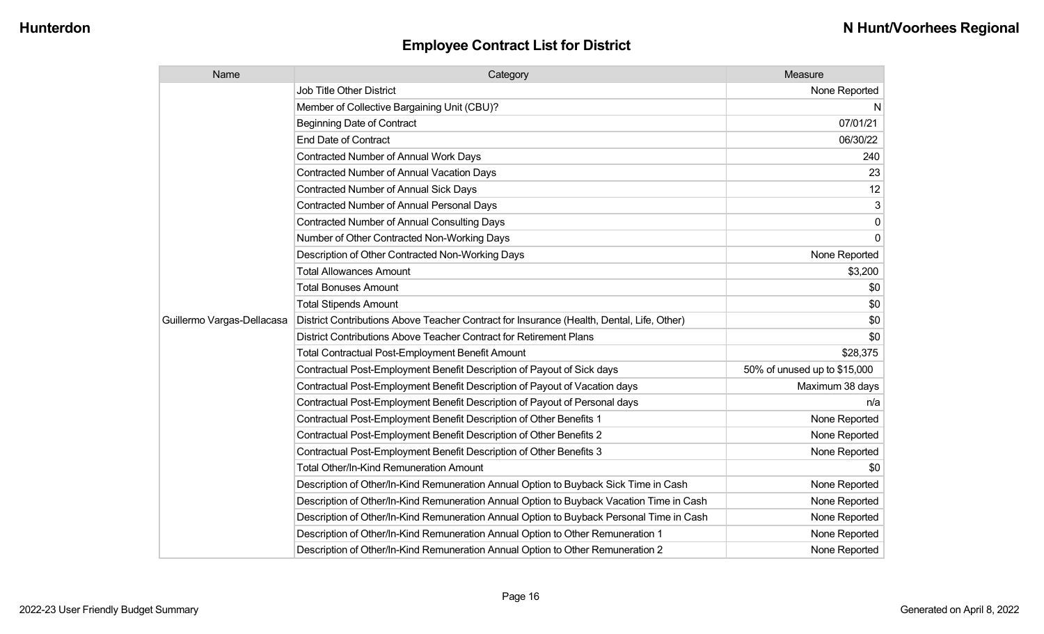| Name                       | Category                                                                                  | Measure                      |
|----------------------------|-------------------------------------------------------------------------------------------|------------------------------|
|                            | <b>Job Title Other District</b>                                                           | None Reported                |
|                            | Member of Collective Bargaining Unit (CBU)?                                               | N                            |
|                            | <b>Beginning Date of Contract</b>                                                         | 07/01/21                     |
|                            | <b>End Date of Contract</b>                                                               | 06/30/22                     |
|                            | Contracted Number of Annual Work Days                                                     | 240                          |
|                            | Contracted Number of Annual Vacation Days                                                 | 23                           |
|                            | Contracted Number of Annual Sick Days                                                     | 12                           |
|                            | Contracted Number of Annual Personal Days                                                 | 3                            |
|                            | <b>Contracted Number of Annual Consulting Days</b>                                        | 0                            |
|                            | Number of Other Contracted Non-Working Days                                               | 0                            |
|                            | Description of Other Contracted Non-Working Days                                          | None Reported                |
|                            | <b>Total Allowances Amount</b>                                                            | \$3,200                      |
|                            | <b>Total Bonuses Amount</b>                                                               | \$0                          |
|                            | <b>Total Stipends Amount</b>                                                              | \$0                          |
| Guillermo Vargas-Dellacasa | District Contributions Above Teacher Contract for Insurance (Health, Dental, Life, Other) | \$0                          |
|                            | District Contributions Above Teacher Contract for Retirement Plans                        | \$0                          |
|                            | Total Contractual Post-Employment Benefit Amount                                          | \$28,375                     |
|                            | Contractual Post-Employment Benefit Description of Payout of Sick days                    | 50% of unused up to \$15,000 |
|                            | Contractual Post-Employment Benefit Description of Payout of Vacation days                | Maximum 38 days              |
|                            | Contractual Post-Employment Benefit Description of Payout of Personal days                | n/a                          |
|                            | Contractual Post-Employment Benefit Description of Other Benefits 1                       | None Reported                |
|                            | Contractual Post-Employment Benefit Description of Other Benefits 2                       | None Reported                |
|                            | Contractual Post-Employment Benefit Description of Other Benefits 3                       | None Reported                |
|                            | <b>Total Other/In-Kind Remuneration Amount</b>                                            | \$0                          |
|                            | Description of Other/In-Kind Remuneration Annual Option to Buyback Sick Time in Cash      | None Reported                |
|                            | Description of Other/In-Kind Remuneration Annual Option to Buyback Vacation Time in Cash  | None Reported                |
|                            | Description of Other/In-Kind Remuneration Annual Option to Buyback Personal Time in Cash  | None Reported                |
|                            | Description of Other/In-Kind Remuneration Annual Option to Other Remuneration 1           | None Reported                |
|                            | Description of Other/In-Kind Remuneration Annual Option to Other Remuneration 2           | None Reported                |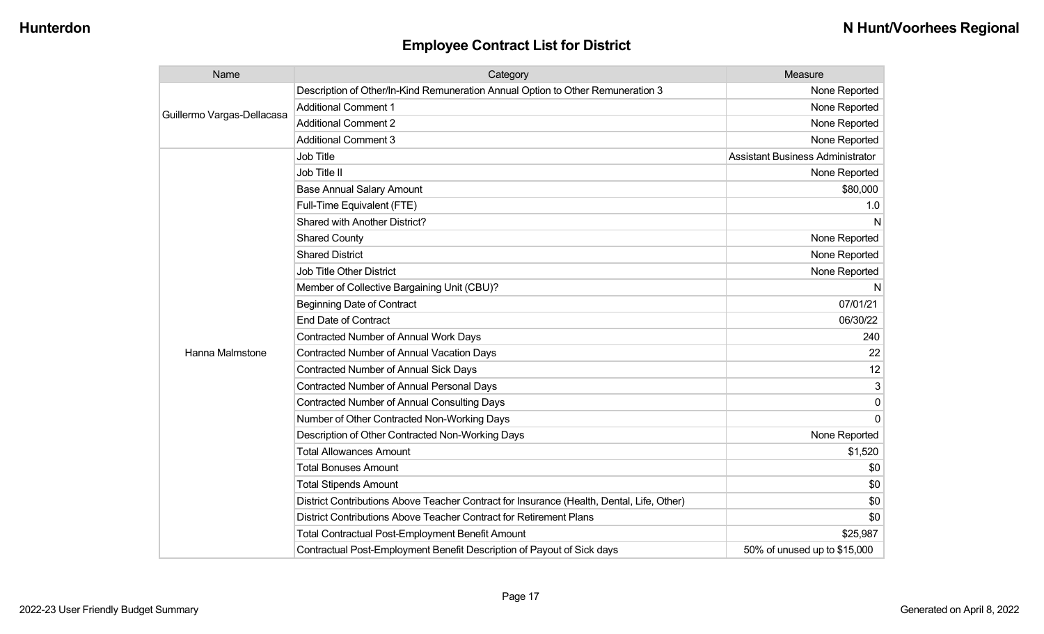| Name                       | Category                                                                                  | Measure                                 |
|----------------------------|-------------------------------------------------------------------------------------------|-----------------------------------------|
|                            | Description of Other/In-Kind Remuneration Annual Option to Other Remuneration 3           | None Reported                           |
| Guillermo Vargas-Dellacasa | <b>Additional Comment 1</b>                                                               | None Reported                           |
|                            | <b>Additional Comment 2</b>                                                               | None Reported                           |
|                            | <b>Additional Comment 3</b>                                                               | None Reported                           |
|                            | Job Title                                                                                 | <b>Assistant Business Administrator</b> |
|                            | Job Title II                                                                              | None Reported                           |
|                            | <b>Base Annual Salary Amount</b>                                                          | \$80,000                                |
|                            | Full-Time Equivalent (FTE)                                                                | 1.0                                     |
|                            | Shared with Another District?                                                             | N                                       |
|                            | <b>Shared County</b>                                                                      | None Reported                           |
|                            | <b>Shared District</b>                                                                    | None Reported                           |
|                            | <b>Job Title Other District</b>                                                           | None Reported                           |
|                            | Member of Collective Bargaining Unit (CBU)?                                               | N                                       |
|                            | <b>Beginning Date of Contract</b>                                                         | 07/01/21                                |
|                            | <b>End Date of Contract</b>                                                               | 06/30/22                                |
|                            | <b>Contracted Number of Annual Work Days</b>                                              | 240                                     |
| Hanna Malmstone            | <b>Contracted Number of Annual Vacation Days</b>                                          | 22                                      |
|                            | Contracted Number of Annual Sick Days                                                     | 12                                      |
|                            | <b>Contracted Number of Annual Personal Days</b>                                          | 3                                       |
|                            | <b>Contracted Number of Annual Consulting Days</b>                                        | 0                                       |
|                            | Number of Other Contracted Non-Working Days                                               | $\Omega$                                |
|                            | Description of Other Contracted Non-Working Days                                          | None Reported                           |
|                            | <b>Total Allowances Amount</b>                                                            | \$1,520                                 |
|                            | <b>Total Bonuses Amount</b>                                                               | \$0                                     |
|                            | <b>Total Stipends Amount</b>                                                              | \$0                                     |
|                            | District Contributions Above Teacher Contract for Insurance (Health, Dental, Life, Other) | \$0                                     |
|                            | District Contributions Above Teacher Contract for Retirement Plans                        | \$0                                     |
|                            | <b>Total Contractual Post-Employment Benefit Amount</b>                                   | \$25,987                                |
|                            | Contractual Post-Employment Benefit Description of Payout of Sick days                    | 50% of unused up to \$15,000            |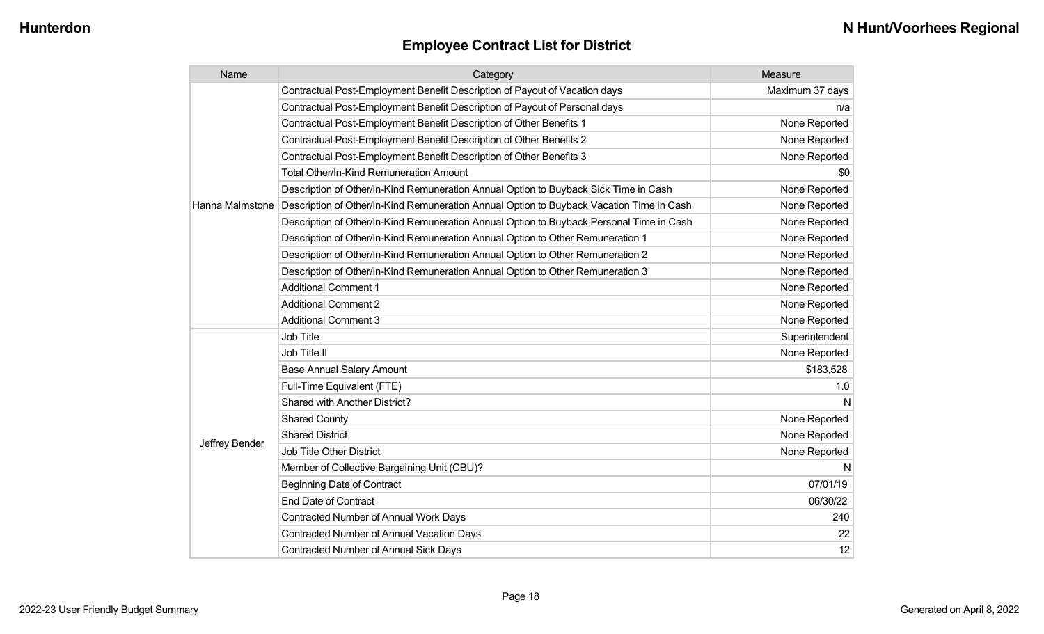| Name            | Category                                                                                 | Measure         |
|-----------------|------------------------------------------------------------------------------------------|-----------------|
|                 | Contractual Post-Employment Benefit Description of Payout of Vacation days               | Maximum 37 days |
|                 | Contractual Post-Employment Benefit Description of Payout of Personal days               | n/a             |
|                 | Contractual Post-Employment Benefit Description of Other Benefits 1                      | None Reported   |
|                 | Contractual Post-Employment Benefit Description of Other Benefits 2                      | None Reported   |
|                 | Contractual Post-Employment Benefit Description of Other Benefits 3                      | None Reported   |
|                 | <b>Total Other/In-Kind Remuneration Amount</b>                                           | \$0             |
|                 | Description of Other/In-Kind Remuneration Annual Option to Buyback Sick Time in Cash     | None Reported   |
| Hanna Malmstone | Description of Other/In-Kind Remuneration Annual Option to Buyback Vacation Time in Cash | None Reported   |
|                 | Description of Other/In-Kind Remuneration Annual Option to Buyback Personal Time in Cash | None Reported   |
|                 | Description of Other/In-Kind Remuneration Annual Option to Other Remuneration 1          | None Reported   |
|                 | Description of Other/In-Kind Remuneration Annual Option to Other Remuneration 2          | None Reported   |
|                 | Description of Other/In-Kind Remuneration Annual Option to Other Remuneration 3          | None Reported   |
|                 | <b>Additional Comment 1</b>                                                              | None Reported   |
|                 | <b>Additional Comment 2</b>                                                              | None Reported   |
|                 | <b>Additional Comment 3</b>                                                              | None Reported   |
|                 | Job Title                                                                                | Superintendent  |
|                 | Job Title II                                                                             | None Reported   |
|                 | <b>Base Annual Salary Amount</b>                                                         | \$183,528       |
|                 | Full-Time Equivalent (FTE)                                                               | 1.0             |
|                 | Shared with Another District?                                                            | N               |
|                 | <b>Shared County</b>                                                                     | None Reported   |
|                 | <b>Shared District</b>                                                                   | None Reported   |
| Jeffrey Bender  | Job Title Other District                                                                 | None Reported   |
|                 | Member of Collective Bargaining Unit (CBU)?                                              | N               |
|                 | <b>Beginning Date of Contract</b>                                                        | 07/01/19        |
|                 | <b>End Date of Contract</b>                                                              | 06/30/22        |
|                 | <b>Contracted Number of Annual Work Days</b>                                             | 240             |
|                 | <b>Contracted Number of Annual Vacation Days</b>                                         | 22              |
|                 | <b>Contracted Number of Annual Sick Days</b>                                             | 12              |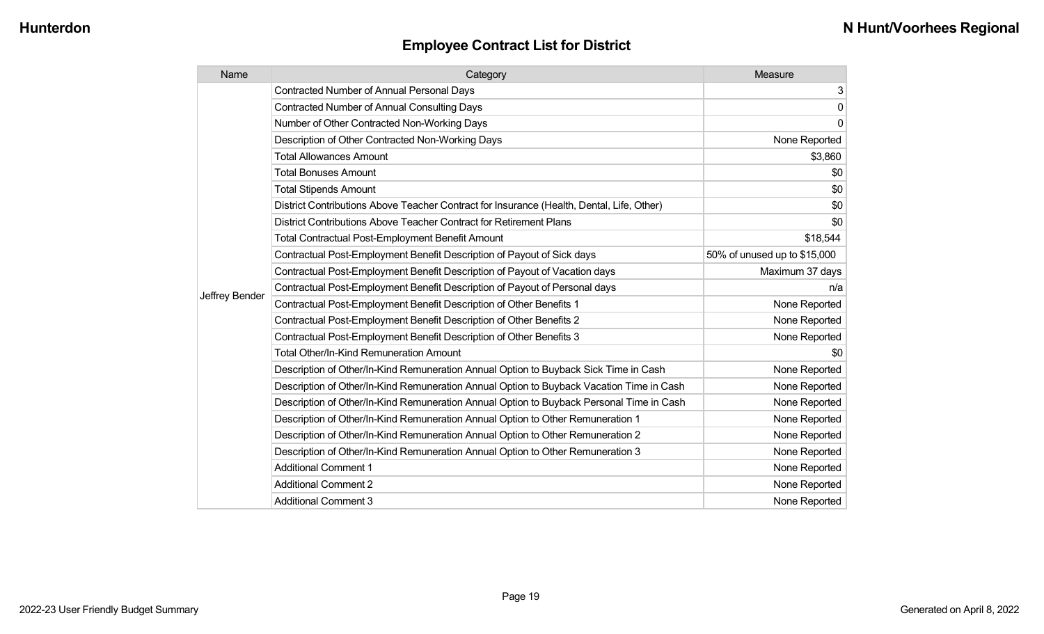| Name           | Category                                                                                  | Measure                      |
|----------------|-------------------------------------------------------------------------------------------|------------------------------|
|                | <b>Contracted Number of Annual Personal Days</b>                                          | 3                            |
|                | <b>Contracted Number of Annual Consulting Days</b>                                        | 0                            |
|                | Number of Other Contracted Non-Working Days                                               | 0                            |
|                | Description of Other Contracted Non-Working Days                                          | None Reported                |
|                | <b>Total Allowances Amount</b>                                                            | \$3,860                      |
|                | <b>Total Bonuses Amount</b>                                                               | \$0                          |
|                | <b>Total Stipends Amount</b>                                                              | \$0                          |
|                | District Contributions Above Teacher Contract for Insurance (Health, Dental, Life, Other) | \$0                          |
|                | District Contributions Above Teacher Contract for Retirement Plans                        | \$0                          |
|                | <b>Total Contractual Post-Employment Benefit Amount</b>                                   | \$18,544                     |
|                | Contractual Post-Employment Benefit Description of Payout of Sick days                    | 50% of unused up to \$15,000 |
|                | Contractual Post-Employment Benefit Description of Payout of Vacation days                | Maximum 37 days              |
|                | Contractual Post-Employment Benefit Description of Payout of Personal days                | n/a                          |
| Jeffrey Bender | Contractual Post-Employment Benefit Description of Other Benefits 1                       | None Reported                |
|                | Contractual Post-Employment Benefit Description of Other Benefits 2                       | None Reported                |
|                | Contractual Post-Employment Benefit Description of Other Benefits 3                       | None Reported                |
|                | Total Other/In-Kind Remuneration Amount                                                   | \$0                          |
|                | Description of Other/In-Kind Remuneration Annual Option to Buyback Sick Time in Cash      | None Reported                |
|                | Description of Other/In-Kind Remuneration Annual Option to Buyback Vacation Time in Cash  | None Reported                |
|                | Description of Other/In-Kind Remuneration Annual Option to Buyback Personal Time in Cash  | None Reported                |
|                | Description of Other/In-Kind Remuneration Annual Option to Other Remuneration 1           | None Reported                |
|                | Description of Other/In-Kind Remuneration Annual Option to Other Remuneration 2           | None Reported                |
|                | Description of Other/In-Kind Remuneration Annual Option to Other Remuneration 3           | None Reported                |
|                | <b>Additional Comment 1</b>                                                               | None Reported                |
|                | <b>Additional Comment 2</b>                                                               | None Reported                |
|                | <b>Additional Comment 3</b>                                                               | None Reported                |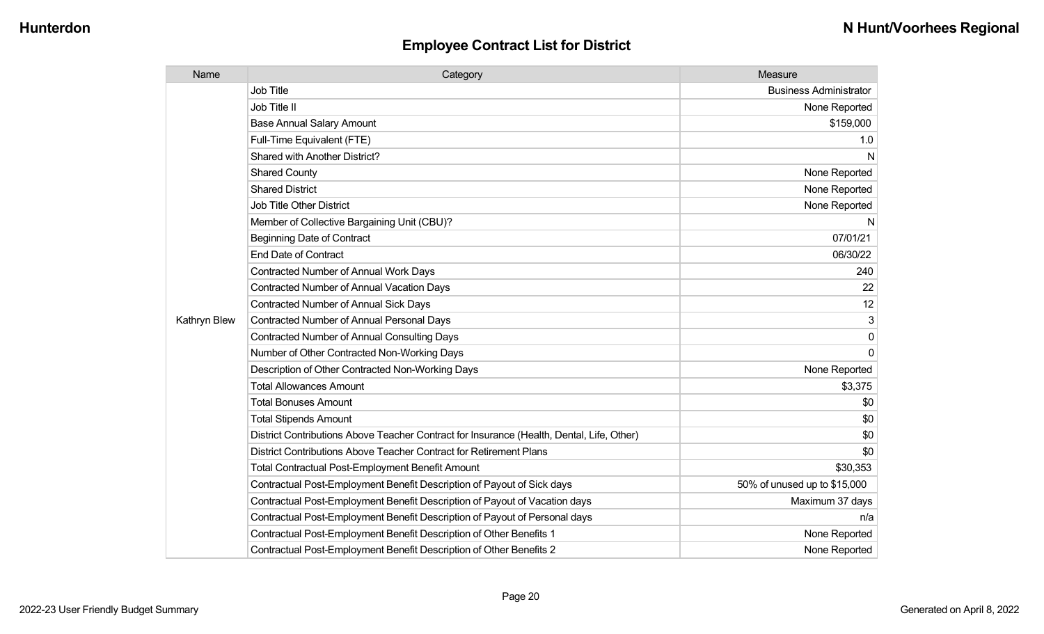| Name         | Category                                                                                  | Measure                       |
|--------------|-------------------------------------------------------------------------------------------|-------------------------------|
|              | <b>Job Title</b>                                                                          | <b>Business Administrator</b> |
|              | Job Title II                                                                              | None Reported                 |
|              | <b>Base Annual Salary Amount</b>                                                          | \$159,000                     |
|              | Full-Time Equivalent (FTE)                                                                | 1.0                           |
|              | <b>Shared with Another District?</b>                                                      | N                             |
|              | <b>Shared County</b>                                                                      | None Reported                 |
|              | <b>Shared District</b>                                                                    | None Reported                 |
|              | <b>Job Title Other District</b>                                                           | None Reported                 |
|              | Member of Collective Bargaining Unit (CBU)?                                               | N                             |
|              | <b>Beginning Date of Contract</b>                                                         | 07/01/21                      |
|              | <b>End Date of Contract</b>                                                               | 06/30/22                      |
|              | <b>Contracted Number of Annual Work Days</b>                                              | 240                           |
|              | <b>Contracted Number of Annual Vacation Days</b>                                          | 22                            |
|              | <b>Contracted Number of Annual Sick Days</b>                                              | 12                            |
| Kathryn Blew | <b>Contracted Number of Annual Personal Days</b>                                          | 3                             |
|              | <b>Contracted Number of Annual Consulting Days</b>                                        | $\mathbf{0}$                  |
|              | Number of Other Contracted Non-Working Days                                               | $\Omega$                      |
|              | Description of Other Contracted Non-Working Days                                          | None Reported                 |
|              | <b>Total Allowances Amount</b>                                                            | \$3,375                       |
|              | <b>Total Bonuses Amount</b>                                                               | \$0                           |
|              | <b>Total Stipends Amount</b>                                                              | \$0                           |
|              | District Contributions Above Teacher Contract for Insurance (Health, Dental, Life, Other) | \$0                           |
|              | District Contributions Above Teacher Contract for Retirement Plans                        | \$0                           |
|              | <b>Total Contractual Post-Employment Benefit Amount</b>                                   | \$30,353                      |
|              | Contractual Post-Employment Benefit Description of Payout of Sick days                    | 50% of unused up to \$15,000  |
|              | Contractual Post-Employment Benefit Description of Payout of Vacation days                | Maximum 37 days               |
|              | Contractual Post-Employment Benefit Description of Payout of Personal days                | n/a                           |
|              | Contractual Post-Employment Benefit Description of Other Benefits 1                       | None Reported                 |
|              | Contractual Post-Employment Benefit Description of Other Benefits 2                       | None Reported                 |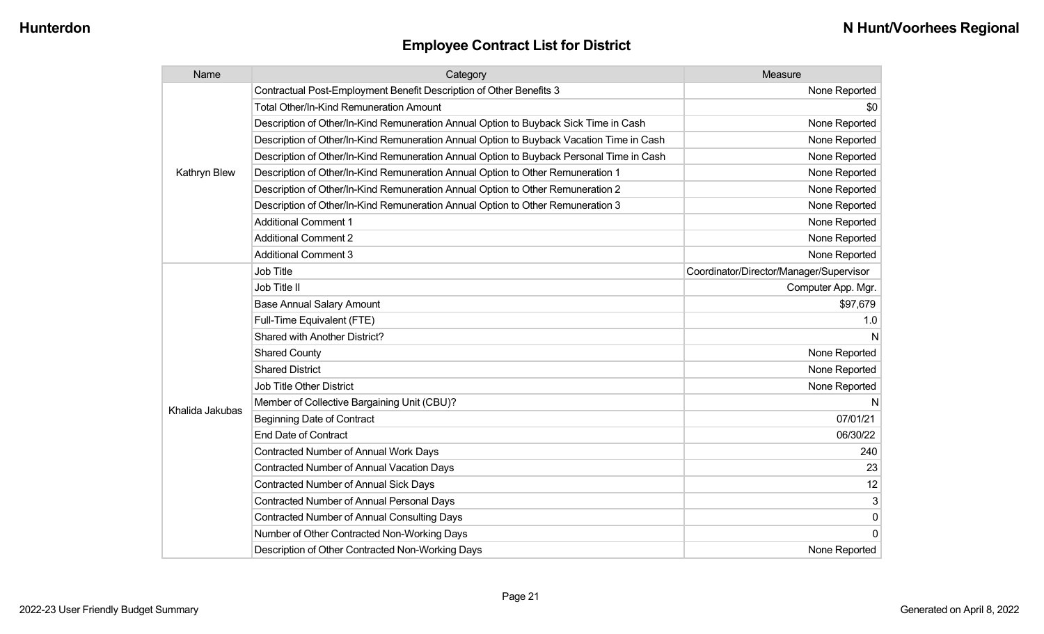| Name            | Category                                                                                 | Measure                                 |
|-----------------|------------------------------------------------------------------------------------------|-----------------------------------------|
|                 | Contractual Post-Employment Benefit Description of Other Benefits 3                      | None Reported                           |
|                 | Total Other/In-Kind Remuneration Amount                                                  | \$0                                     |
|                 | Description of Other/In-Kind Remuneration Annual Option to Buyback Sick Time in Cash     | None Reported                           |
|                 | Description of Other/In-Kind Remuneration Annual Option to Buyback Vacation Time in Cash | None Reported                           |
|                 | Description of Other/In-Kind Remuneration Annual Option to Buyback Personal Time in Cash | None Reported                           |
| Kathryn Blew    | Description of Other/In-Kind Remuneration Annual Option to Other Remuneration 1          | None Reported                           |
|                 | Description of Other/In-Kind Remuneration Annual Option to Other Remuneration 2          | None Reported                           |
|                 | Description of Other/In-Kind Remuneration Annual Option to Other Remuneration 3          | None Reported                           |
|                 | <b>Additional Comment 1</b>                                                              | None Reported                           |
|                 | <b>Additional Comment 2</b>                                                              | None Reported                           |
|                 | <b>Additional Comment 3</b>                                                              | None Reported                           |
|                 | Job Title                                                                                | Coordinator/Director/Manager/Supervisor |
|                 | Job Title II                                                                             | Computer App. Mgr.                      |
|                 | <b>Base Annual Salary Amount</b>                                                         | \$97,679                                |
|                 | Full-Time Equivalent (FTE)                                                               | 1.0                                     |
|                 | Shared with Another District?                                                            | N                                       |
|                 | <b>Shared County</b>                                                                     | None Reported                           |
|                 | <b>Shared District</b>                                                                   | None Reported                           |
|                 | Job Title Other District                                                                 | None Reported                           |
|                 | Member of Collective Bargaining Unit (CBU)?                                              | N                                       |
| Khalida Jakubas | <b>Beginning Date of Contract</b>                                                        | 07/01/21                                |
|                 | <b>End Date of Contract</b>                                                              | 06/30/22                                |
|                 | <b>Contracted Number of Annual Work Days</b>                                             | 240                                     |
|                 | <b>Contracted Number of Annual Vacation Days</b>                                         | 23                                      |
|                 | <b>Contracted Number of Annual Sick Days</b>                                             | 12                                      |
|                 | Contracted Number of Annual Personal Days                                                | 3                                       |
|                 | <b>Contracted Number of Annual Consulting Days</b>                                       | $\mathbf 0$                             |
|                 | Number of Other Contracted Non-Working Days                                              | $\mathbf{0}$                            |
|                 | Description of Other Contracted Non-Working Days                                         | None Reported                           |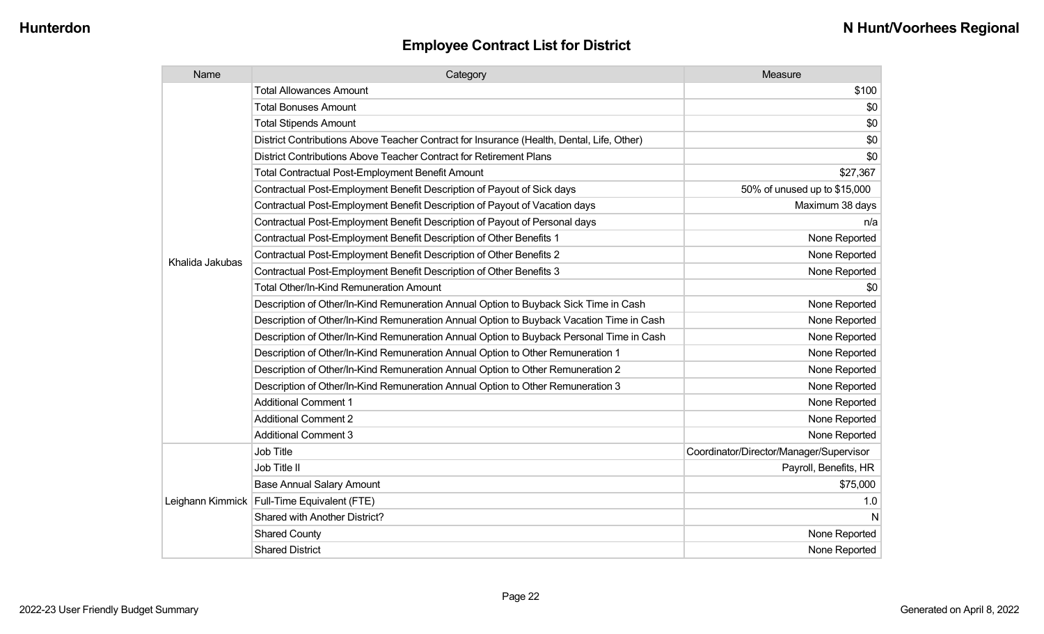| Name            | Category                                                                                  | Measure                                 |
|-----------------|-------------------------------------------------------------------------------------------|-----------------------------------------|
|                 | <b>Total Allowances Amount</b>                                                            | \$100                                   |
|                 | <b>Total Bonuses Amount</b>                                                               | \$0                                     |
|                 | <b>Total Stipends Amount</b>                                                              | \$0                                     |
|                 | District Contributions Above Teacher Contract for Insurance (Health, Dental, Life, Other) | \$0                                     |
|                 | District Contributions Above Teacher Contract for Retirement Plans                        | \$0                                     |
|                 | <b>Total Contractual Post-Employment Benefit Amount</b>                                   | \$27,367                                |
|                 | Contractual Post-Employment Benefit Description of Payout of Sick days                    | 50% of unused up to \$15,000            |
|                 | Contractual Post-Employment Benefit Description of Payout of Vacation days                | Maximum 38 days                         |
|                 | Contractual Post-Employment Benefit Description of Payout of Personal days                | n/a                                     |
|                 | Contractual Post-Employment Benefit Description of Other Benefits 1                       | None Reported                           |
| Khalida Jakubas | Contractual Post-Employment Benefit Description of Other Benefits 2                       | None Reported                           |
|                 | Contractual Post-Employment Benefit Description of Other Benefits 3                       | None Reported                           |
|                 | Total Other/In-Kind Remuneration Amount                                                   | \$0                                     |
|                 | Description of Other/In-Kind Remuneration Annual Option to Buyback Sick Time in Cash      | None Reported                           |
|                 | Description of Other/In-Kind Remuneration Annual Option to Buyback Vacation Time in Cash  | None Reported                           |
|                 | Description of Other/In-Kind Remuneration Annual Option to Buyback Personal Time in Cash  | None Reported                           |
|                 | Description of Other/In-Kind Remuneration Annual Option to Other Remuneration 1           | None Reported                           |
|                 | Description of Other/In-Kind Remuneration Annual Option to Other Remuneration 2           | None Reported                           |
|                 | Description of Other/In-Kind Remuneration Annual Option to Other Remuneration 3           | None Reported                           |
|                 | <b>Additional Comment 1</b>                                                               | None Reported                           |
|                 | <b>Additional Comment 2</b>                                                               | None Reported                           |
|                 | <b>Additional Comment 3</b>                                                               | None Reported                           |
|                 | Job Title                                                                                 | Coordinator/Director/Manager/Supervisor |
|                 | Job Title II                                                                              | Payroll, Benefits, HR                   |
|                 | <b>Base Annual Salary Amount</b>                                                          | \$75,000                                |
|                 | Leighann Kimmick   Full-Time Equivalent (FTE)                                             | 1.0                                     |
|                 | Shared with Another District?                                                             | N                                       |
|                 | <b>Shared County</b>                                                                      | None Reported                           |
|                 | <b>Shared District</b>                                                                    | None Reported                           |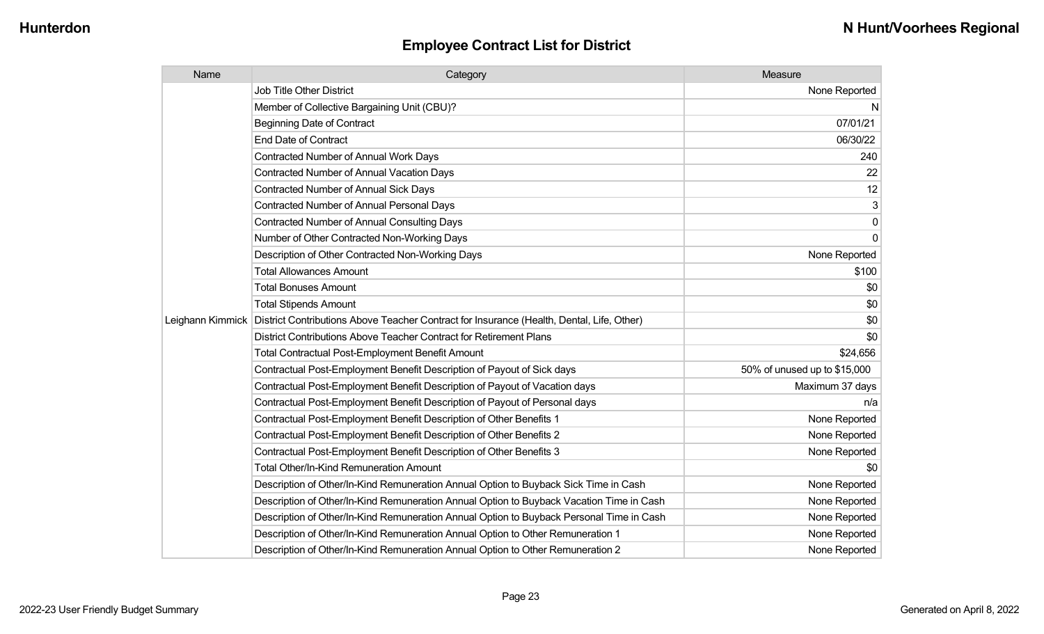| Name             | Category                                                                                  | Measure                      |
|------------------|-------------------------------------------------------------------------------------------|------------------------------|
|                  | Job Title Other District                                                                  | None Reported                |
|                  | Member of Collective Bargaining Unit (CBU)?                                               | N                            |
|                  | <b>Beginning Date of Contract</b>                                                         | 07/01/21                     |
|                  | <b>End Date of Contract</b>                                                               | 06/30/22                     |
|                  | Contracted Number of Annual Work Days                                                     | 240                          |
|                  | <b>Contracted Number of Annual Vacation Days</b>                                          | 22                           |
|                  | <b>Contracted Number of Annual Sick Days</b>                                              | 12                           |
|                  | Contracted Number of Annual Personal Days                                                 | 3                            |
|                  | <b>Contracted Number of Annual Consulting Days</b>                                        | 0                            |
|                  | Number of Other Contracted Non-Working Days                                               | 0                            |
|                  | Description of Other Contracted Non-Working Days                                          | None Reported                |
|                  | <b>Total Allowances Amount</b>                                                            | \$100                        |
|                  | <b>Total Bonuses Amount</b>                                                               | \$0                          |
|                  | <b>Total Stipends Amount</b>                                                              | \$0                          |
| Leighann Kimmick | District Contributions Above Teacher Contract for Insurance (Health, Dental, Life, Other) | \$0                          |
|                  | District Contributions Above Teacher Contract for Retirement Plans                        | \$0                          |
|                  | <b>Total Contractual Post-Employment Benefit Amount</b>                                   | \$24,656                     |
|                  | Contractual Post-Employment Benefit Description of Payout of Sick days                    | 50% of unused up to \$15,000 |
|                  | Contractual Post-Employment Benefit Description of Payout of Vacation days                | Maximum 37 days              |
|                  | Contractual Post-Employment Benefit Description of Payout of Personal days                | n/a                          |
|                  | Contractual Post-Employment Benefit Description of Other Benefits 1                       | None Reported                |
|                  | Contractual Post-Employment Benefit Description of Other Benefits 2                       | None Reported                |
|                  | Contractual Post-Employment Benefit Description of Other Benefits 3                       | None Reported                |
|                  | <b>Total Other/In-Kind Remuneration Amount</b>                                            | \$0                          |
|                  | Description of Other/In-Kind Remuneration Annual Option to Buyback Sick Time in Cash      | None Reported                |
|                  | Description of Other/In-Kind Remuneration Annual Option to Buyback Vacation Time in Cash  | None Reported                |
|                  | Description of Other/In-Kind Remuneration Annual Option to Buyback Personal Time in Cash  | None Reported                |
|                  | Description of Other/In-Kind Remuneration Annual Option to Other Remuneration 1           | None Reported                |
|                  | Description of Other/In-Kind Remuneration Annual Option to Other Remuneration 2           | None Reported                |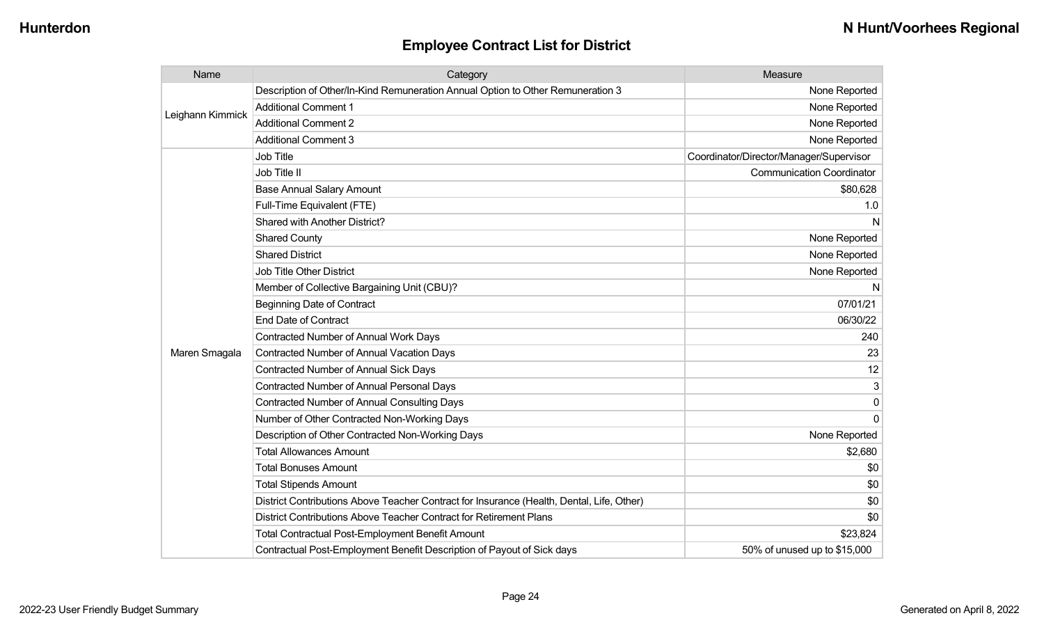| Name             | Category                                                                                  | Measure                                 |
|------------------|-------------------------------------------------------------------------------------------|-----------------------------------------|
| Leighann Kimmick | Description of Other/In-Kind Remuneration Annual Option to Other Remuneration 3           | None Reported                           |
|                  | <b>Additional Comment 1</b>                                                               | None Reported                           |
|                  | <b>Additional Comment 2</b>                                                               | None Reported                           |
|                  | <b>Additional Comment 3</b>                                                               | None Reported                           |
|                  | Job Title                                                                                 | Coordinator/Director/Manager/Supervisor |
|                  | Job Title II                                                                              | <b>Communication Coordinator</b>        |
|                  | <b>Base Annual Salary Amount</b>                                                          | \$80,628                                |
|                  | Full-Time Equivalent (FTE)                                                                | 1.0                                     |
|                  | Shared with Another District?                                                             | N                                       |
|                  | <b>Shared County</b>                                                                      | None Reported                           |
|                  | <b>Shared District</b>                                                                    | None Reported                           |
|                  | Job Title Other District                                                                  | None Reported                           |
|                  | Member of Collective Bargaining Unit (CBU)?                                               | N                                       |
|                  | <b>Beginning Date of Contract</b>                                                         | 07/01/21                                |
|                  | <b>End Date of Contract</b>                                                               | 06/30/22                                |
|                  | <b>Contracted Number of Annual Work Days</b>                                              | 240                                     |
| Maren Smagala    | Contracted Number of Annual Vacation Days                                                 | 23                                      |
|                  | Contracted Number of Annual Sick Days                                                     | 12                                      |
|                  | <b>Contracted Number of Annual Personal Days</b>                                          | 3                                       |
|                  | <b>Contracted Number of Annual Consulting Days</b>                                        | 0                                       |
|                  | Number of Other Contracted Non-Working Days                                               | $\Omega$                                |
|                  | Description of Other Contracted Non-Working Days                                          | None Reported                           |
|                  | <b>Total Allowances Amount</b>                                                            | \$2,680                                 |
|                  | <b>Total Bonuses Amount</b>                                                               | \$0                                     |
|                  | <b>Total Stipends Amount</b>                                                              | \$0                                     |
|                  | District Contributions Above Teacher Contract for Insurance (Health, Dental, Life, Other) | \$0                                     |
|                  | District Contributions Above Teacher Contract for Retirement Plans                        | \$0                                     |
|                  | <b>Total Contractual Post-Employment Benefit Amount</b>                                   | \$23,824                                |
|                  | Contractual Post-Employment Benefit Description of Payout of Sick days                    | 50% of unused up to \$15,000            |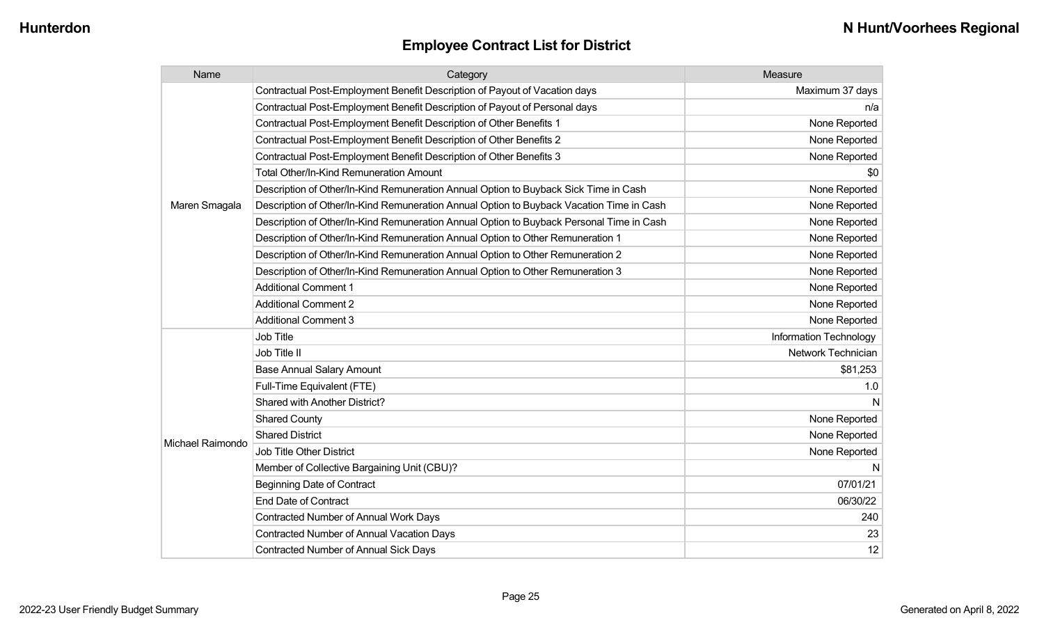| Name             | Category                                                                                 | Measure                |
|------------------|------------------------------------------------------------------------------------------|------------------------|
|                  | Contractual Post-Employment Benefit Description of Payout of Vacation days               | Maximum 37 days        |
|                  | Contractual Post-Employment Benefit Description of Payout of Personal days               | n/a                    |
|                  | Contractual Post-Employment Benefit Description of Other Benefits 1                      | None Reported          |
|                  | Contractual Post-Employment Benefit Description of Other Benefits 2                      | None Reported          |
|                  | Contractual Post-Employment Benefit Description of Other Benefits 3                      | None Reported          |
|                  | Total Other/In-Kind Remuneration Amount                                                  | \$0                    |
|                  | Description of Other/In-Kind Remuneration Annual Option to Buyback Sick Time in Cash     | None Reported          |
| Maren Smagala    | Description of Other/In-Kind Remuneration Annual Option to Buyback Vacation Time in Cash | None Reported          |
|                  | Description of Other/In-Kind Remuneration Annual Option to Buyback Personal Time in Cash | None Reported          |
|                  | Description of Other/In-Kind Remuneration Annual Option to Other Remuneration 1          | None Reported          |
|                  | Description of Other/In-Kind Remuneration Annual Option to Other Remuneration 2          | None Reported          |
|                  | Description of Other/In-Kind Remuneration Annual Option to Other Remuneration 3          | None Reported          |
|                  | <b>Additional Comment 1</b>                                                              | None Reported          |
|                  | <b>Additional Comment 2</b>                                                              | None Reported          |
|                  | <b>Additional Comment 3</b>                                                              | None Reported          |
|                  | Job Title                                                                                | Information Technology |
|                  | Job Title II                                                                             | Network Technician     |
|                  | <b>Base Annual Salary Amount</b>                                                         | \$81,253               |
|                  | Full-Time Equivalent (FTE)                                                               | 1.0                    |
|                  | Shared with Another District?                                                            |                        |
|                  | <b>Shared County</b>                                                                     | None Reported          |
|                  | <b>Shared District</b>                                                                   | None Reported          |
| Michael Raimondo | <b>Job Title Other District</b>                                                          | None Reported          |
|                  | Member of Collective Bargaining Unit (CBU)?                                              | N                      |
|                  | <b>Beginning Date of Contract</b>                                                        | 07/01/21               |
|                  | <b>End Date of Contract</b>                                                              | 06/30/22               |
|                  | Contracted Number of Annual Work Days                                                    | 240                    |
|                  | <b>Contracted Number of Annual Vacation Days</b>                                         | 23                     |
|                  | <b>Contracted Number of Annual Sick Days</b>                                             | 12                     |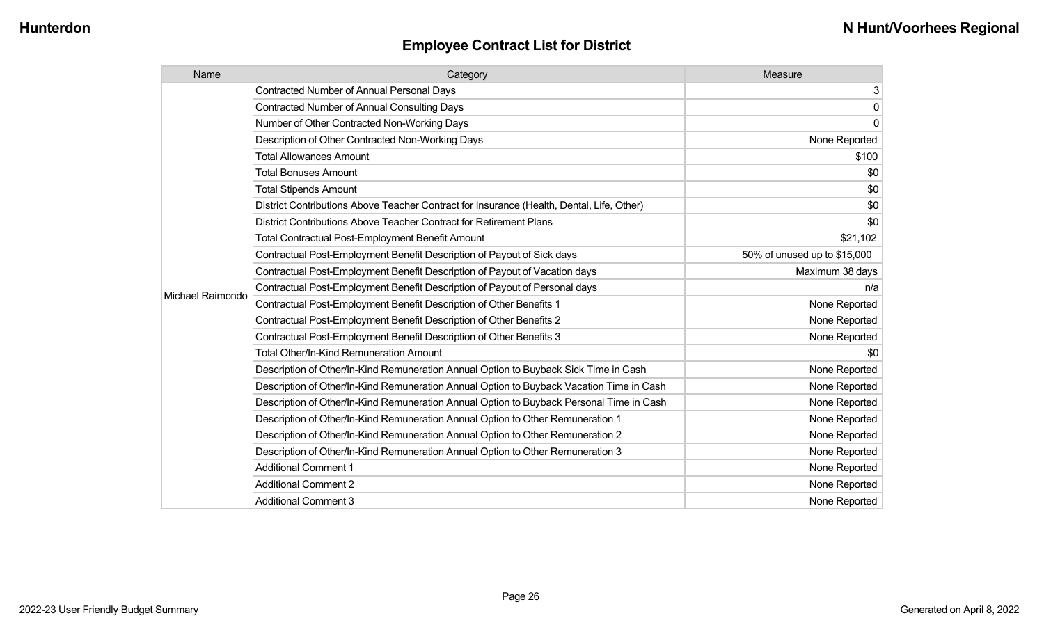| Name             | Category                                                                                  | Measure                      |
|------------------|-------------------------------------------------------------------------------------------|------------------------------|
|                  | <b>Contracted Number of Annual Personal Days</b>                                          | 3                            |
|                  | <b>Contracted Number of Annual Consulting Days</b>                                        | $\mathbf 0$                  |
|                  | Number of Other Contracted Non-Working Days                                               | $\mathbf 0$                  |
|                  | Description of Other Contracted Non-Working Days                                          | None Reported                |
|                  | <b>Total Allowances Amount</b>                                                            | \$100                        |
|                  | <b>Total Bonuses Amount</b>                                                               | \$0                          |
|                  | <b>Total Stipends Amount</b>                                                              | \$0                          |
|                  | District Contributions Above Teacher Contract for Insurance (Health, Dental, Life, Other) | \$0                          |
|                  | District Contributions Above Teacher Contract for Retirement Plans                        | \$0                          |
|                  | <b>Total Contractual Post-Employment Benefit Amount</b>                                   | \$21,102                     |
|                  | Contractual Post-Employment Benefit Description of Payout of Sick days                    | 50% of unused up to \$15,000 |
|                  | Contractual Post-Employment Benefit Description of Payout of Vacation days                | Maximum 38 days              |
| Michael Raimondo | Contractual Post-Employment Benefit Description of Payout of Personal days                | n/a                          |
|                  | Contractual Post-Employment Benefit Description of Other Benefits 1                       | None Reported                |
|                  | Contractual Post-Employment Benefit Description of Other Benefits 2                       | None Reported                |
|                  | Contractual Post-Employment Benefit Description of Other Benefits 3                       | None Reported                |
|                  | <b>Total Other/In-Kind Remuneration Amount</b>                                            | \$0                          |
|                  | Description of Other/In-Kind Remuneration Annual Option to Buyback Sick Time in Cash      | None Reported                |
|                  | Description of Other/In-Kind Remuneration Annual Option to Buyback Vacation Time in Cash  | None Reported                |
|                  | Description of Other/In-Kind Remuneration Annual Option to Buyback Personal Time in Cash  | None Reported                |
|                  | Description of Other/In-Kind Remuneration Annual Option to Other Remuneration 1           | None Reported                |
|                  | Description of Other/In-Kind Remuneration Annual Option to Other Remuneration 2           | None Reported                |
|                  | Description of Other/In-Kind Remuneration Annual Option to Other Remuneration 3           | None Reported                |
|                  | <b>Additional Comment 1</b>                                                               | None Reported                |
|                  | <b>Additional Comment 2</b>                                                               | None Reported                |
|                  | <b>Additional Comment 3</b>                                                               | None Reported                |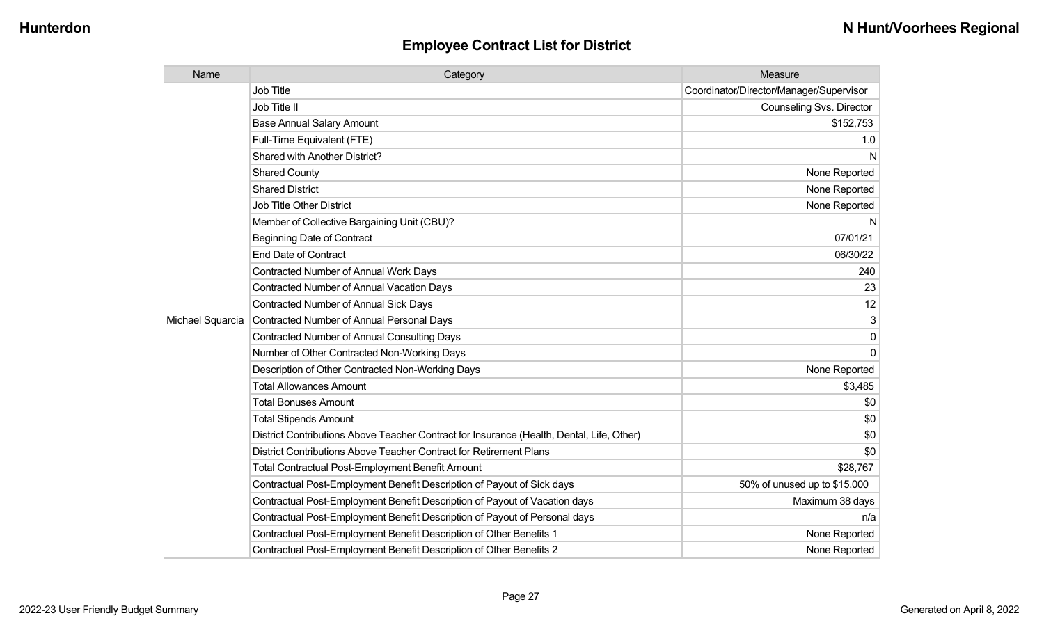| Name             | Category                                                                                  | Measure                                 |
|------------------|-------------------------------------------------------------------------------------------|-----------------------------------------|
|                  | <b>Job Title</b>                                                                          | Coordinator/Director/Manager/Supervisor |
|                  | Job Title II                                                                              | Counseling Svs. Director                |
|                  | <b>Base Annual Salary Amount</b>                                                          | \$152,753                               |
|                  | Full-Time Equivalent (FTE)                                                                | 1.0                                     |
|                  | Shared with Another District?                                                             | N                                       |
|                  | <b>Shared County</b>                                                                      | None Reported                           |
|                  | <b>Shared District</b>                                                                    | None Reported                           |
|                  | <b>Job Title Other District</b>                                                           | None Reported                           |
|                  | Member of Collective Bargaining Unit (CBU)?                                               | N                                       |
|                  | <b>Beginning Date of Contract</b>                                                         | 07/01/21                                |
|                  | <b>End Date of Contract</b>                                                               | 06/30/22                                |
|                  | Contracted Number of Annual Work Days                                                     | 240                                     |
|                  | <b>Contracted Number of Annual Vacation Days</b>                                          | 23                                      |
|                  | <b>Contracted Number of Annual Sick Days</b>                                              | 12                                      |
| Michael Squarcia | <b>Contracted Number of Annual Personal Days</b>                                          | 3                                       |
|                  | <b>Contracted Number of Annual Consulting Days</b>                                        | $\mathbf{0}$                            |
|                  | Number of Other Contracted Non-Working Days                                               | $\Omega$                                |
|                  | Description of Other Contracted Non-Working Days                                          | None Reported                           |
|                  | <b>Total Allowances Amount</b>                                                            | \$3,485                                 |
|                  | <b>Total Bonuses Amount</b>                                                               | \$0                                     |
|                  | <b>Total Stipends Amount</b>                                                              | \$0                                     |
|                  | District Contributions Above Teacher Contract for Insurance (Health, Dental, Life, Other) | \$0                                     |
|                  | District Contributions Above Teacher Contract for Retirement Plans                        | \$0                                     |
|                  | <b>Total Contractual Post-Employment Benefit Amount</b>                                   | \$28,767                                |
|                  | Contractual Post-Employment Benefit Description of Payout of Sick days                    | 50% of unused up to \$15,000            |
|                  | Contractual Post-Employment Benefit Description of Payout of Vacation days                | Maximum 38 days                         |
|                  | Contractual Post-Employment Benefit Description of Payout of Personal days                | n/a                                     |
|                  | Contractual Post-Employment Benefit Description of Other Benefits 1                       | None Reported                           |
|                  | Contractual Post-Employment Benefit Description of Other Benefits 2                       | None Reported                           |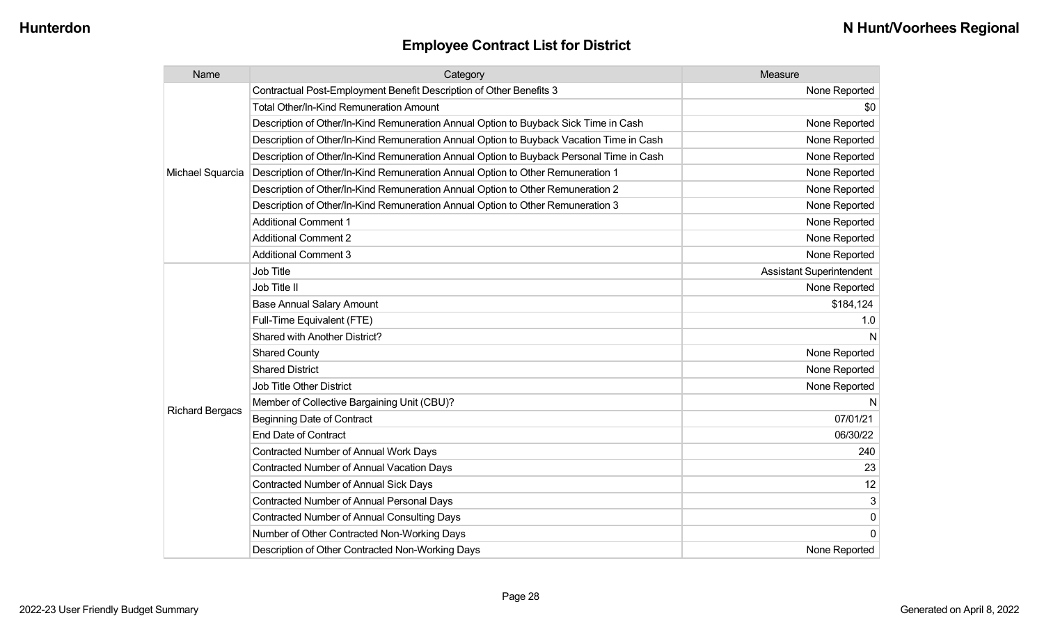| Name                   | Category                                                                                 | Measure                         |
|------------------------|------------------------------------------------------------------------------------------|---------------------------------|
|                        | Contractual Post-Employment Benefit Description of Other Benefits 3                      | None Reported                   |
|                        | <b>Total Other/In-Kind Remuneration Amount</b>                                           | \$0                             |
|                        | Description of Other/In-Kind Remuneration Annual Option to Buyback Sick Time in Cash     | None Reported                   |
|                        | Description of Other/In-Kind Remuneration Annual Option to Buyback Vacation Time in Cash | None Reported                   |
|                        | Description of Other/In-Kind Remuneration Annual Option to Buyback Personal Time in Cash | None Reported                   |
| Michael Squarcia       | Description of Other/In-Kind Remuneration Annual Option to Other Remuneration 1          | None Reported                   |
|                        | Description of Other/In-Kind Remuneration Annual Option to Other Remuneration 2          | None Reported                   |
|                        | Description of Other/In-Kind Remuneration Annual Option to Other Remuneration 3          | None Reported                   |
|                        | <b>Additional Comment 1</b>                                                              | None Reported                   |
|                        | <b>Additional Comment 2</b>                                                              | None Reported                   |
|                        | <b>Additional Comment 3</b>                                                              | None Reported                   |
|                        | <b>Job Title</b>                                                                         | <b>Assistant Superintendent</b> |
|                        | Job Title II                                                                             | None Reported                   |
|                        | <b>Base Annual Salary Amount</b>                                                         | \$184,124                       |
|                        | Full-Time Equivalent (FTE)                                                               | 1.0                             |
|                        | Shared with Another District?                                                            | N                               |
|                        | <b>Shared County</b>                                                                     | None Reported                   |
|                        | <b>Shared District</b>                                                                   | None Reported                   |
|                        | <b>Job Title Other District</b>                                                          | None Reported                   |
|                        | Member of Collective Bargaining Unit (CBU)?                                              | N                               |
| <b>Richard Bergacs</b> | <b>Beginning Date of Contract</b>                                                        | 07/01/21                        |
|                        | <b>End Date of Contract</b>                                                              | 06/30/22                        |
|                        | Contracted Number of Annual Work Days                                                    | 240                             |
|                        | <b>Contracted Number of Annual Vacation Days</b>                                         | 23                              |
|                        | <b>Contracted Number of Annual Sick Days</b>                                             | 12                              |
|                        | Contracted Number of Annual Personal Days                                                | 3                               |
|                        | <b>Contracted Number of Annual Consulting Days</b>                                       | $\pmb{0}$                       |
|                        | Number of Other Contracted Non-Working Days                                              | $\overline{0}$                  |
|                        | Description of Other Contracted Non-Working Days                                         | None Reported                   |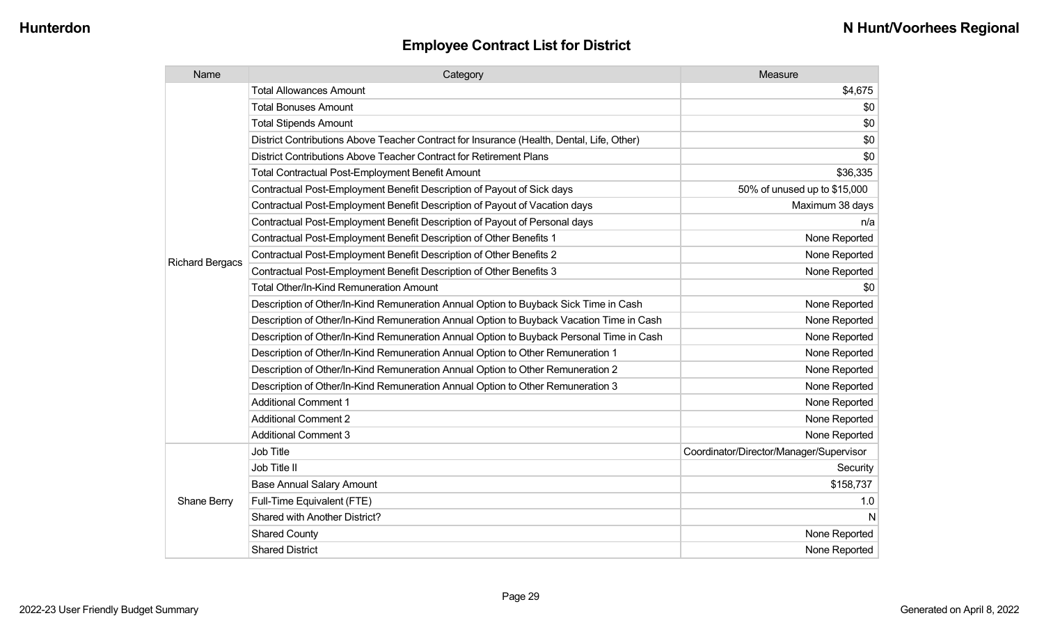| Name                   | Category                                                                                  | Measure                                 |
|------------------------|-------------------------------------------------------------------------------------------|-----------------------------------------|
|                        | <b>Total Allowances Amount</b>                                                            | \$4,675                                 |
|                        | <b>Total Bonuses Amount</b>                                                               | \$0                                     |
|                        | <b>Total Stipends Amount</b>                                                              | \$0                                     |
|                        | District Contributions Above Teacher Contract for Insurance (Health, Dental, Life, Other) | \$0                                     |
|                        | District Contributions Above Teacher Contract for Retirement Plans                        | \$0                                     |
|                        | Total Contractual Post-Employment Benefit Amount                                          | \$36,335                                |
|                        | Contractual Post-Employment Benefit Description of Payout of Sick days                    | 50% of unused up to \$15,000            |
|                        | Contractual Post-Employment Benefit Description of Payout of Vacation days                | Maximum 38 days                         |
|                        | Contractual Post-Employment Benefit Description of Payout of Personal days                | n/a                                     |
|                        | Contractual Post-Employment Benefit Description of Other Benefits 1                       | None Reported                           |
|                        | Contractual Post-Employment Benefit Description of Other Benefits 2                       | None Reported                           |
| <b>Richard Bergacs</b> | Contractual Post-Employment Benefit Description of Other Benefits 3                       | None Reported                           |
|                        | <b>Total Other/In-Kind Remuneration Amount</b>                                            | \$0                                     |
|                        | Description of Other/In-Kind Remuneration Annual Option to Buyback Sick Time in Cash      | None Reported                           |
|                        | Description of Other/In-Kind Remuneration Annual Option to Buyback Vacation Time in Cash  | None Reported                           |
|                        | Description of Other/In-Kind Remuneration Annual Option to Buyback Personal Time in Cash  | None Reported                           |
|                        | Description of Other/In-Kind Remuneration Annual Option to Other Remuneration 1           | None Reported                           |
|                        | Description of Other/In-Kind Remuneration Annual Option to Other Remuneration 2           | None Reported                           |
|                        | Description of Other/In-Kind Remuneration Annual Option to Other Remuneration 3           | None Reported                           |
|                        | <b>Additional Comment 1</b>                                                               | None Reported                           |
|                        | <b>Additional Comment 2</b>                                                               | None Reported                           |
|                        | <b>Additional Comment 3</b>                                                               | None Reported                           |
|                        | Job Title                                                                                 | Coordinator/Director/Manager/Supervisor |
| Shane Berry            | Job Title II                                                                              | Security                                |
|                        | <b>Base Annual Salary Amount</b>                                                          | \$158,737                               |
|                        | Full-Time Equivalent (FTE)                                                                | 1.0                                     |
|                        | Shared with Another District?                                                             | N                                       |
|                        | <b>Shared County</b>                                                                      | None Reported                           |
|                        | <b>Shared District</b>                                                                    | None Reported                           |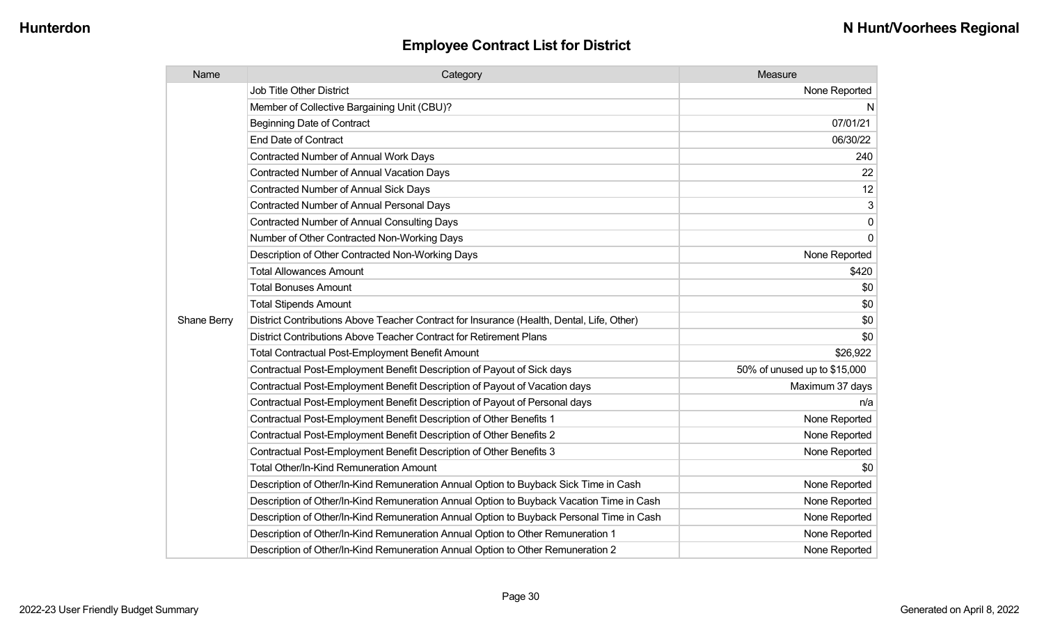| Name        | Category                                                                                  | Measure                      |
|-------------|-------------------------------------------------------------------------------------------|------------------------------|
|             | <b>Job Title Other District</b>                                                           | None Reported                |
|             | Member of Collective Bargaining Unit (CBU)?                                               | N.                           |
|             | <b>Beginning Date of Contract</b>                                                         | 07/01/21                     |
|             | <b>End Date of Contract</b>                                                               | 06/30/22                     |
|             | <b>Contracted Number of Annual Work Days</b>                                              | 240                          |
|             | <b>Contracted Number of Annual Vacation Days</b>                                          | 22                           |
|             | <b>Contracted Number of Annual Sick Days</b>                                              | 12                           |
|             | <b>Contracted Number of Annual Personal Days</b>                                          | 3                            |
|             | Contracted Number of Annual Consulting Days                                               | $\mathsf 0$                  |
|             | Number of Other Contracted Non-Working Days                                               | $\mathbf 0$                  |
|             | Description of Other Contracted Non-Working Days                                          | None Reported                |
|             | <b>Total Allowances Amount</b>                                                            | \$420                        |
|             | <b>Total Bonuses Amount</b>                                                               | \$0                          |
|             | <b>Total Stipends Amount</b>                                                              | \$0                          |
| Shane Berry | District Contributions Above Teacher Contract for Insurance (Health, Dental, Life, Other) | \$0                          |
|             | District Contributions Above Teacher Contract for Retirement Plans                        | \$0                          |
|             | <b>Total Contractual Post-Employment Benefit Amount</b>                                   | \$26,922                     |
|             | Contractual Post-Employment Benefit Description of Payout of Sick days                    | 50% of unused up to \$15,000 |
|             | Contractual Post-Employment Benefit Description of Payout of Vacation days                | Maximum 37 days              |
|             | Contractual Post-Employment Benefit Description of Payout of Personal days                | n/a                          |
|             | Contractual Post-Employment Benefit Description of Other Benefits 1                       | None Reported                |
|             | Contractual Post-Employment Benefit Description of Other Benefits 2                       | None Reported                |
|             | Contractual Post-Employment Benefit Description of Other Benefits 3                       | None Reported                |
|             | Total Other/In-Kind Remuneration Amount                                                   | \$0                          |
|             | Description of Other/In-Kind Remuneration Annual Option to Buyback Sick Time in Cash      | None Reported                |
|             | Description of Other/In-Kind Remuneration Annual Option to Buyback Vacation Time in Cash  | None Reported                |
|             | Description of Other/In-Kind Remuneration Annual Option to Buyback Personal Time in Cash  | None Reported                |
|             | Description of Other/In-Kind Remuneration Annual Option to Other Remuneration 1           | None Reported                |
|             | Description of Other/In-Kind Remuneration Annual Option to Other Remuneration 2           | None Reported                |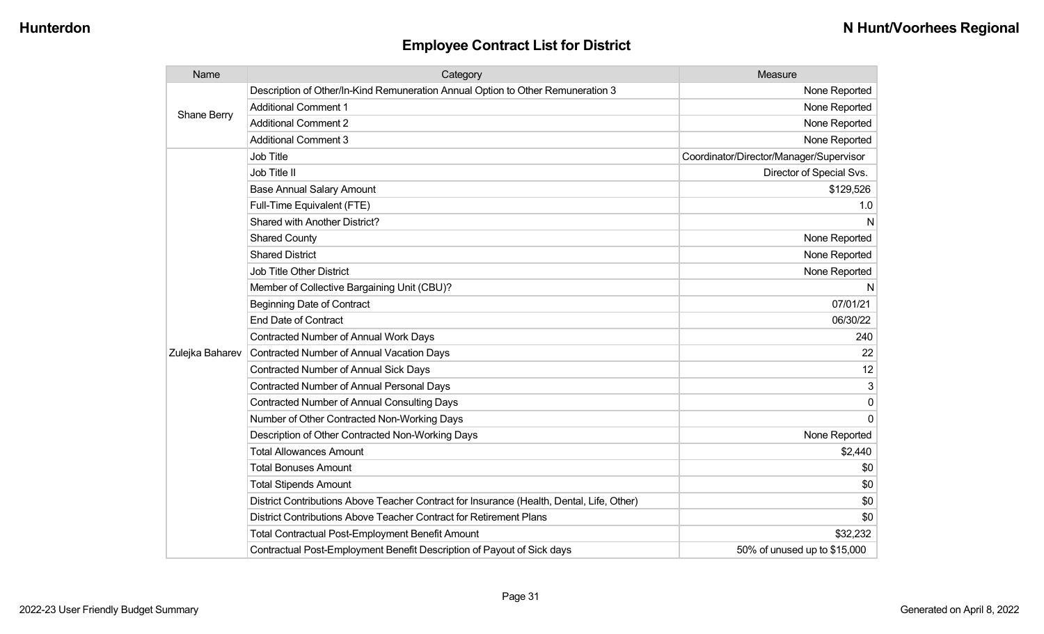| Name            | Category                                                                                  | Measure                                 |
|-----------------|-------------------------------------------------------------------------------------------|-----------------------------------------|
| Shane Berry     | Description of Other/In-Kind Remuneration Annual Option to Other Remuneration 3           | None Reported                           |
|                 | <b>Additional Comment 1</b>                                                               | None Reported                           |
|                 | <b>Additional Comment 2</b>                                                               | None Reported                           |
|                 | <b>Additional Comment 3</b>                                                               | None Reported                           |
|                 | Job Title                                                                                 | Coordinator/Director/Manager/Supervisor |
|                 | Job Title II                                                                              | Director of Special Svs.                |
|                 | <b>Base Annual Salary Amount</b>                                                          | \$129,526                               |
|                 | Full-Time Equivalent (FTE)                                                                | 1.0                                     |
|                 | Shared with Another District?                                                             | N                                       |
|                 | <b>Shared County</b>                                                                      | None Reported                           |
|                 | <b>Shared District</b>                                                                    | None Reported                           |
|                 | <b>Job Title Other District</b>                                                           | None Reported                           |
|                 | Member of Collective Bargaining Unit (CBU)?                                               | N                                       |
|                 | <b>Beginning Date of Contract</b>                                                         | 07/01/21                                |
|                 | <b>End Date of Contract</b>                                                               | 06/30/22                                |
|                 | Contracted Number of Annual Work Days                                                     | 240                                     |
| Zulejka Baharev | Contracted Number of Annual Vacation Days                                                 | 22                                      |
|                 | Contracted Number of Annual Sick Days                                                     | 12                                      |
|                 | <b>Contracted Number of Annual Personal Days</b>                                          | 3                                       |
|                 | <b>Contracted Number of Annual Consulting Days</b>                                        | $\Omega$                                |
|                 | Number of Other Contracted Non-Working Days                                               | $\Omega$                                |
|                 | Description of Other Contracted Non-Working Days                                          | None Reported                           |
|                 | <b>Total Allowances Amount</b>                                                            | \$2,440                                 |
|                 | <b>Total Bonuses Amount</b>                                                               | \$0                                     |
|                 | <b>Total Stipends Amount</b>                                                              | \$0                                     |
|                 | District Contributions Above Teacher Contract for Insurance (Health, Dental, Life, Other) | \$0                                     |
|                 | District Contributions Above Teacher Contract for Retirement Plans                        | \$0                                     |
|                 | <b>Total Contractual Post-Employment Benefit Amount</b>                                   | \$32,232                                |
|                 | Contractual Post-Employment Benefit Description of Payout of Sick days                    | 50% of unused up to \$15,000            |